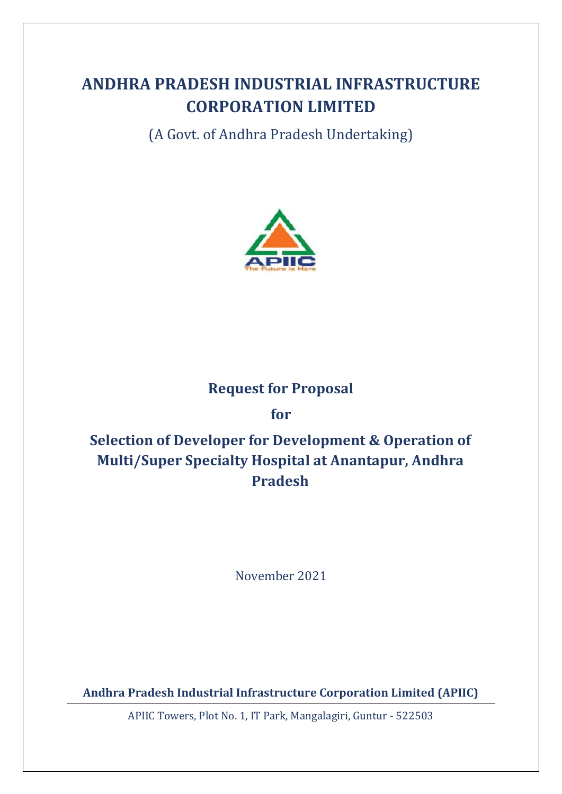# **ANDHRA PRADESH INDUSTRIAL INFRASTRUCTURE CORPORATION LIMITED**

(A Govt. of Andhra Pradesh Undertaking)



## **Request for Proposal**

**for**

# **Selection of Developer for Development & Operation of Multi/Super Specialty Hospital at Anantapur, Andhra Pradesh**

November 2021

**Andhra Pradesh Industrial Infrastructure Corporation Limited (APIIC)**

APIIC Towers, Plot No. 1, IT Park, Mangalagiri, Guntur - 522503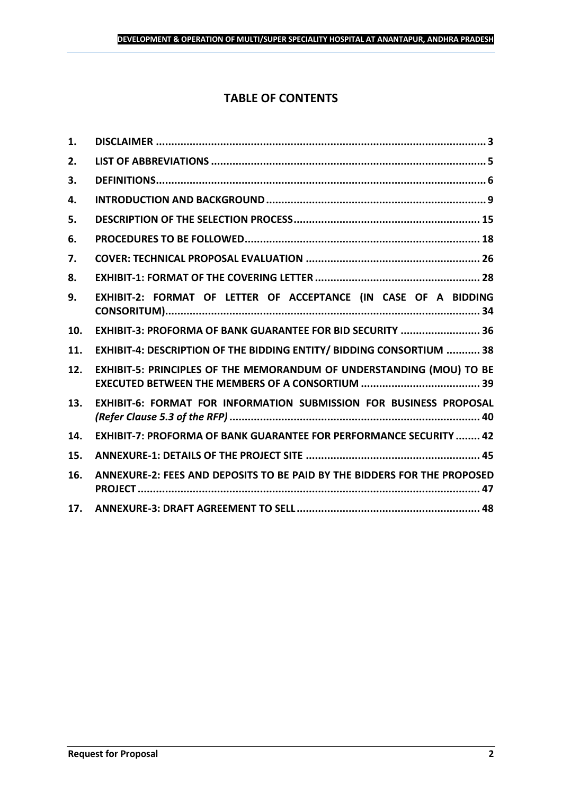## **TABLE OF CONTENTS**

| 1.  |                                                                           |
|-----|---------------------------------------------------------------------------|
| 2.  |                                                                           |
| 3.  |                                                                           |
| 4.  |                                                                           |
| 5.  |                                                                           |
| 6.  |                                                                           |
| 7.  |                                                                           |
| 8.  |                                                                           |
| 9.  | EXHIBIT-2: FORMAT OF LETTER OF ACCEPTANCE (IN CASE OF A BIDDING           |
| 10. | EXHIBIT-3: PROFORMA OF BANK GUARANTEE FOR BID SECURITY  36                |
| 11. | EXHIBIT-4: DESCRIPTION OF THE BIDDING ENTITY/ BIDDING CONSORTIUM  38      |
| 12. | EXHIBIT-5: PRINCIPLES OF THE MEMORANDUM OF UNDERSTANDING (MOU) TO BE      |
| 13. | EXHIBIT-6: FORMAT FOR INFORMATION SUBMISSION FOR BUSINESS PROPOSAL        |
| 14. | <b>EXHIBIT-7: PROFORMA OF BANK GUARANTEE FOR PERFORMANCE SECURITY  42</b> |
| 15. |                                                                           |
| 16. | ANNEXURE-2: FEES AND DEPOSITS TO BE PAID BY THE BIDDERS FOR THE PROPOSED  |
| 17. |                                                                           |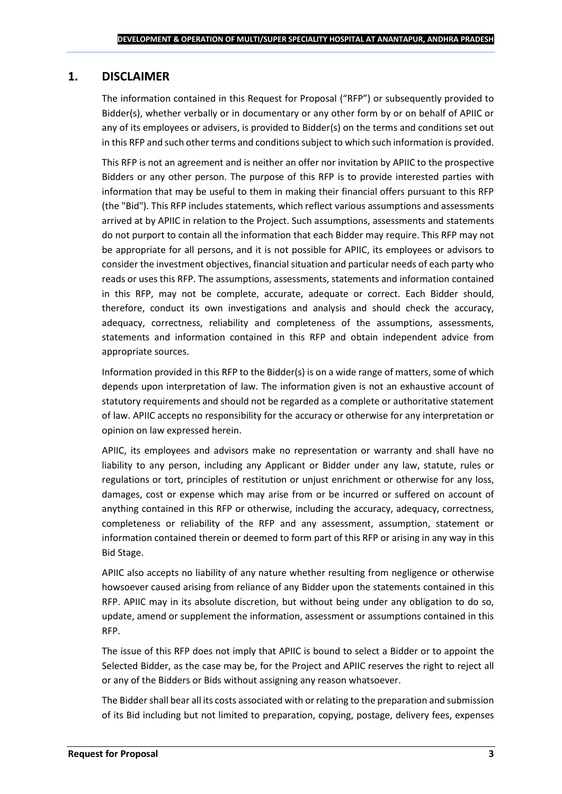## <span id="page-2-0"></span>**1. DISCLAIMER**

The information contained in this Request for Proposal ("RFP") or subsequently provided to Bidder(s), whether verbally or in documentary or any other form by or on behalf of APIIC or any of its employees or advisers, is provided to Bidder(s) on the terms and conditions set out in this RFP and such other terms and conditions subject to which such information is provided.

This RFP is not an agreement and is neither an offer nor invitation by APIIC to the prospective Bidders or any other person. The purpose of this RFP is to provide interested parties with information that may be useful to them in making their financial offers pursuant to this RFP (the "Bid"). This RFP includes statements, which reflect various assumptions and assessments arrived at by APIIC in relation to the Project. Such assumptions, assessments and statements do not purport to contain all the information that each Bidder may require. This RFP may not be appropriate for all persons, and it is not possible for APIIC, its employees or advisors to consider the investment objectives, financial situation and particular needs of each party who reads or uses this RFP. The assumptions, assessments, statements and information contained in this RFP, may not be complete, accurate, adequate or correct. Each Bidder should, therefore, conduct its own investigations and analysis and should check the accuracy, adequacy, correctness, reliability and completeness of the assumptions, assessments, statements and information contained in this RFP and obtain independent advice from appropriate sources.

Information provided in this RFP to the Bidder(s) is on a wide range of matters, some of which depends upon interpretation of law. The information given is not an exhaustive account of statutory requirements and should not be regarded as a complete or authoritative statement of law. APIIC accepts no responsibility for the accuracy or otherwise for any interpretation or opinion on law expressed herein.

APIIC, its employees and advisors make no representation or warranty and shall have no liability to any person, including any Applicant or Bidder under any law, statute, rules or regulations or tort, principles of restitution or unjust enrichment or otherwise for any loss, damages, cost or expense which may arise from or be incurred or suffered on account of anything contained in this RFP or otherwise, including the accuracy, adequacy, correctness, completeness or reliability of the RFP and any assessment, assumption, statement or information contained therein or deemed to form part of this RFP or arising in any way in this Bid Stage.

APIIC also accepts no liability of any nature whether resulting from negligence or otherwise howsoever caused arising from reliance of any Bidder upon the statements contained in this RFP. APIIC may in its absolute discretion, but without being under any obligation to do so, update, amend or supplement the information, assessment or assumptions contained in this RFP.

The issue of this RFP does not imply that APIIC is bound to select a Bidder or to appoint the Selected Bidder, as the case may be, for the Project and APIIC reserves the right to reject all or any of the Bidders or Bids without assigning any reason whatsoever.

The Bidder shall bear all its costs associated with or relating to the preparation and submission of its Bid including but not limited to preparation, copying, postage, delivery fees, expenses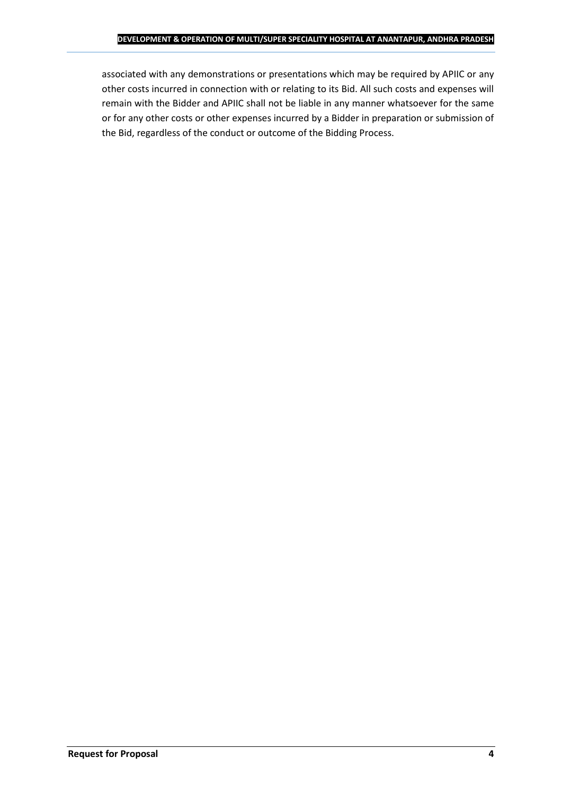associated with any demonstrations or presentations which may be required by APIIC or any other costs incurred in connection with or relating to its Bid. All such costs and expenses will remain with the Bidder and APIIC shall not be liable in any manner whatsoever for the same or for any other costs or other expenses incurred by a Bidder in preparation or submission of the Bid, regardless of the conduct or outcome of the Bidding Process.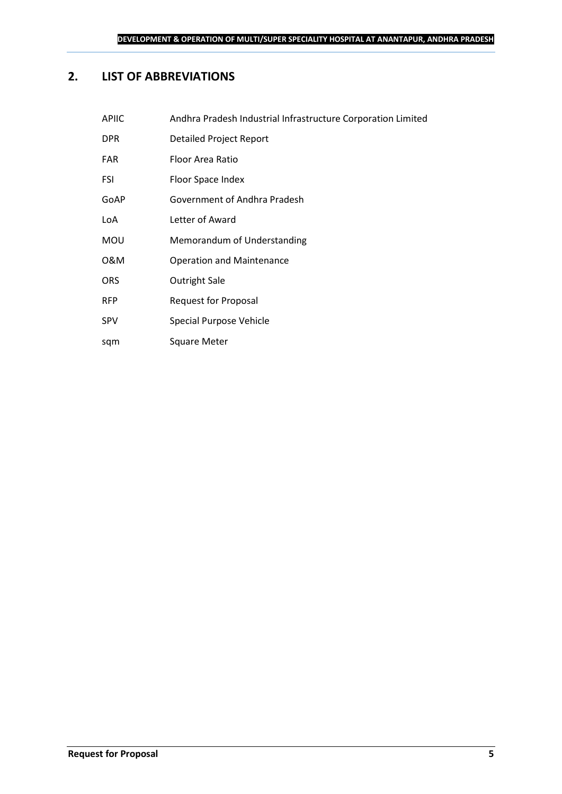## <span id="page-4-0"></span>**2. LIST OF ABBREVIATIONS**

| <b>APIIC</b> | Andhra Pradesh Industrial Infrastructure Corporation Limited |
|--------------|--------------------------------------------------------------|
| <b>DPR</b>   | Detailed Project Report                                      |
| <b>FAR</b>   | Floor Area Ratio                                             |
| FSI          | Floor Space Index                                            |
| GoAP         | Government of Andhra Pradesh                                 |
| LoA          | Letter of Award                                              |
| <b>MOU</b>   | Memorandum of Understanding                                  |
| 0&M          | <b>Operation and Maintenance</b>                             |
| <b>ORS</b>   | Outright Sale                                                |
| <b>RFP</b>   | Request for Proposal                                         |
| <b>SPV</b>   | Special Purpose Vehicle                                      |
|              |                                                              |

sqm Square Meter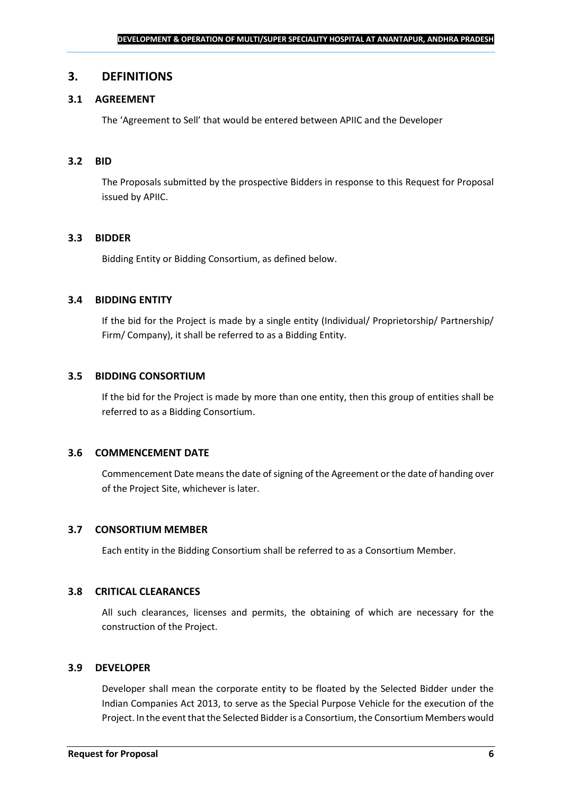#### <span id="page-5-0"></span>**3. DEFINITIONS**

### **3.1 AGREEMENT**

The 'Agreement to Sell' that would be entered between APIIC and the Developer

#### **3.2 BID**

The Proposals submitted by the prospective Bidders in response to this Request for Proposal issued by APIIC.

#### **3.3 BIDDER**

Bidding Entity or Bidding Consortium, as defined below.

#### **3.4 BIDDING ENTITY**

If the bid for the Project is made by a single entity (Individual/ Proprietorship/ Partnership/ Firm/ Company), it shall be referred to as a Bidding Entity.

#### **3.5 BIDDING CONSORTIUM**

If the bid for the Project is made by more than one entity, then this group of entities shall be referred to as a Bidding Consortium.

#### **3.6 COMMENCEMENT DATE**

Commencement Date means the date of signing of the Agreement or the date of handing over of the Project Site, whichever is later.

#### **3.7 CONSORTIUM MEMBER**

Each entity in the Bidding Consortium shall be referred to as a Consortium Member.

#### **3.8 CRITICAL CLEARANCES**

All such clearances, licenses and permits, the obtaining of which are necessary for the construction of the Project.

#### **3.9 DEVELOPER**

Developer shall mean the corporate entity to be floated by the Selected Bidder under the Indian Companies Act 2013, to serve as the Special Purpose Vehicle for the execution of the Project. In the event that the Selected Bidder is a Consortium, the Consortium Members would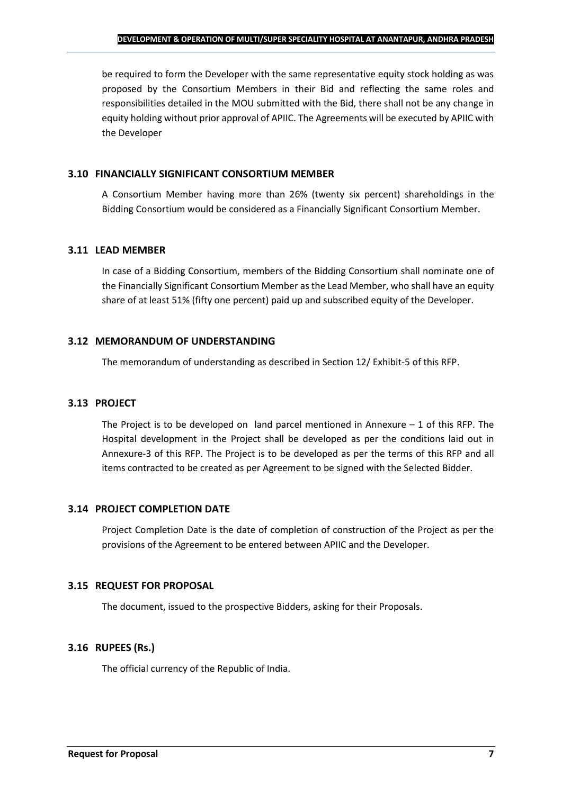be required to form the Developer with the same representative equity stock holding as was proposed by the Consortium Members in their Bid and reflecting the same roles and responsibilities detailed in the MOU submitted with the Bid, there shall not be any change in equity holding without prior approval of APIIC. The Agreements will be executed by APIIC with the Developer

#### **3.10 FINANCIALLY SIGNIFICANT CONSORTIUM MEMBER**

A Consortium Member having more than 26% (twenty six percent) shareholdings in the Bidding Consortium would be considered as a Financially Significant Consortium Member.

#### **3.11 LEAD MEMBER**

In case of a Bidding Consortium, members of the Bidding Consortium shall nominate one of the Financially Significant Consortium Member as the Lead Member, who shall have an equity share of at least 51% (fifty one percent) paid up and subscribed equity of the Developer.

#### **3.12 MEMORANDUM OF UNDERSTANDING**

The memorandum of understanding as described in Section 12/ Exhibit-5 of this RFP.

## **3.13 PROJECT**

The Project is to be developed on land parcel mentioned in Annexure  $-1$  of this RFP. The Hospital development in the Project shall be developed as per the conditions laid out in Annexure-3 of this RFP. The Project is to be developed as per the terms of this RFP and all items contracted to be created as per Agreement to be signed with the Selected Bidder.

## **3.14 PROJECT COMPLETION DATE**

Project Completion Date is the date of completion of construction of the Project as per the provisions of the Agreement to be entered between APIIC and the Developer.

## **3.15 REQUEST FOR PROPOSAL**

The document, issued to the prospective Bidders, asking for their Proposals.

## **3.16 RUPEES (Rs.)**

The official currency of the Republic of India.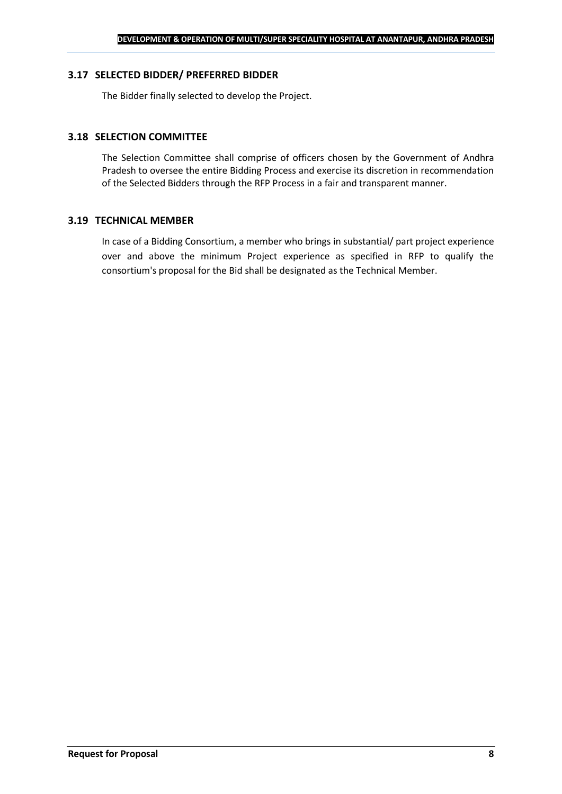#### **3.17 SELECTED BIDDER/ PREFERRED BIDDER**

The Bidder finally selected to develop the Project.

#### **3.18 SELECTION COMMITTEE**

The Selection Committee shall comprise of officers chosen by the Government of Andhra Pradesh to oversee the entire Bidding Process and exercise its discretion in recommendation of the Selected Bidders through the RFP Process in a fair and transparent manner.

#### **3.19 TECHNICAL MEMBER**

In case of a Bidding Consortium, a member who brings in substantial/ part project experience over and above the minimum Project experience as specified in RFP to qualify the consortium's proposal for the Bid shall be designated as the Technical Member.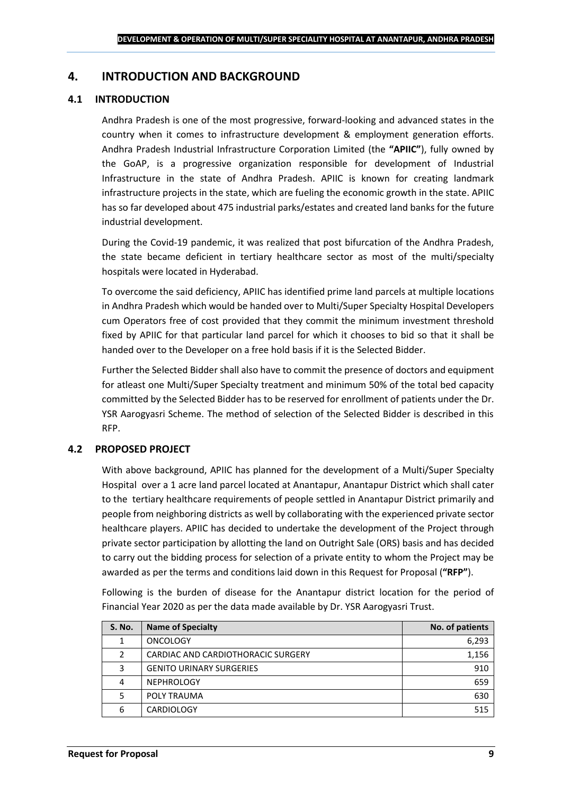## <span id="page-8-0"></span>**4. INTRODUCTION AND BACKGROUND**

#### **4.1 INTRODUCTION**

Andhra Pradesh is one of the most progressive, forward-looking and advanced states in the country when it comes to infrastructure development & employment generation efforts. Andhra Pradesh Industrial Infrastructure Corporation Limited (the **"APIIC"**), fully owned by the GoAP, is a progressive organization responsible for development of Industrial Infrastructure in the state of Andhra Pradesh. APIIC is known for creating landmark infrastructure projects in the state, which are fueling the economic growth in the state. APIIC has so far developed about 475 industrial parks/estates and created land banks for the future industrial development.

During the Covid-19 pandemic, it was realized that post bifurcation of the Andhra Pradesh, the state became deficient in tertiary healthcare sector as most of the multi/specialty hospitals were located in Hyderabad.

To overcome the said deficiency, APIIC has identified prime land parcels at multiple locations in Andhra Pradesh which would be handed over to Multi/Super Specialty Hospital Developers cum Operators free of cost provided that they commit the minimum investment threshold fixed by APIIC for that particular land parcel for which it chooses to bid so that it shall be handed over to the Developer on a free hold basis if it is the Selected Bidder.

Further the Selected Bidder shall also have to commit the presence of doctors and equipment for atleast one Multi/Super Specialty treatment and minimum 50% of the total bed capacity committed by the Selected Bidder has to be reserved for enrollment of patients under the Dr. YSR Aarogyasri Scheme. The method of selection of the Selected Bidder is described in this RFP.

#### **4.2 PROPOSED PROJECT**

With above background, APIIC has planned for the development of a Multi/Super Specialty Hospital over a 1 acre land parcel located at Anantapur, Anantapur District which shall cater to the tertiary healthcare requirements of people settled in Anantapur District primarily and people from neighboring districts as well by collaborating with the experienced private sector healthcare players. APIIC has decided to undertake the development of the Project through private sector participation by allotting the land on Outright Sale (ORS) basis and has decided to carry out the bidding process for selection of a private entity to whom the Project may be awarded as per the terms and conditions laid down in this Request for Proposal (**"RFP"**).

Following is the burden of disease for the Anantapur district location for the period of Financial Year 2020 as per the data made available by Dr. YSR Aarogyasri Trust.

| <b>S. No.</b> | <b>Name of Specialty</b>           | No. of patients |
|---------------|------------------------------------|-----------------|
|               | <b>ONCOLOGY</b>                    | 6,293           |
|               | CARDIAC AND CARDIOTHORACIC SURGERY | 1,156           |
| 3             | <b>GENITO URINARY SURGERIES</b>    | 910             |
|               | <b>NEPHROLOGY</b>                  | 659             |
|               | POLY TRAUMA                        | 630             |
| 6             | <b>CARDIOLOGY</b>                  | 515             |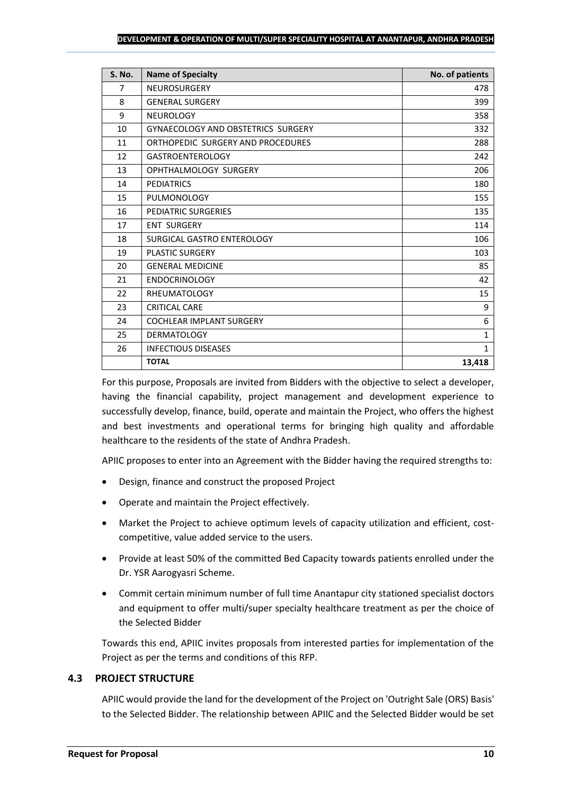| <b>S. No.</b>  | <b>Name of Specialty</b>                  | No. of patients |  |  |
|----------------|-------------------------------------------|-----------------|--|--|
| $\overline{7}$ | <b>NEUROSURGERY</b>                       | 478             |  |  |
| 8              | <b>GENERAL SURGERY</b>                    |                 |  |  |
| 9              | <b>NEUROLOGY</b>                          | 358             |  |  |
| 10             | <b>GYNAECOLOGY AND OBSTETRICS SURGERY</b> | 332             |  |  |
| 11             | ORTHOPEDIC SURGERY AND PROCEDURES         | 288             |  |  |
| 12             | <b>GASTROENTEROLOGY</b>                   | 242             |  |  |
| 13             | OPHTHALMOLOGY SURGERY                     | 206             |  |  |
| 14             | <b>PEDIATRICS</b>                         | 180             |  |  |
| 15             | PULMONOLOGY                               | 155             |  |  |
| 16             | PEDIATRIC SURGERIES                       | 135             |  |  |
| 17             | <b>ENT SURGERY</b>                        | 114             |  |  |
| 18             | SURGICAL GASTRO ENTEROLOGY                | 106             |  |  |
| 19             | <b>PLASTIC SURGERY</b>                    | 103             |  |  |
| 20             | <b>GENERAL MEDICINE</b>                   | 85              |  |  |
| 21             | <b>ENDOCRINOLOGY</b>                      | 42              |  |  |
| 22             | <b>RHEUMATOLOGY</b>                       | 15              |  |  |
| 23             | <b>CRITICAL CARE</b>                      | 9               |  |  |
| 24             | <b>COCHLEAR IMPLANT SURGERY</b>           | 6               |  |  |
| 25             | <b>DERMATOLOGY</b>                        | $\mathbf{1}$    |  |  |
| 26             | <b>INFECTIOUS DISEASES</b>                | $\mathbf{1}$    |  |  |
|                | <b>TOTAL</b>                              | 13,418          |  |  |

For this purpose, Proposals are invited from Bidders with the objective to select a developer, having the financial capability, project management and development experience to successfully develop, finance, build, operate and maintain the Project, who offers the highest and best investments and operational terms for bringing high quality and affordable healthcare to the residents of the state of Andhra Pradesh.

APIIC proposes to enter into an Agreement with the Bidder having the required strengths to:

- Design, finance and construct the proposed Project
- Operate and maintain the Project effectively.
- Market the Project to achieve optimum levels of capacity utilization and efficient, costcompetitive, value added service to the users.
- Provide at least 50% of the committed Bed Capacity towards patients enrolled under the Dr. YSR Aarogyasri Scheme.
- Commit certain minimum number of full time Anantapur city stationed specialist doctors and equipment to offer multi/super specialty healthcare treatment as per the choice of the Selected Bidder

Towards this end, APIIC invites proposals from interested parties for implementation of the Project as per the terms and conditions of this RFP.

## **4.3 PROJECT STRUCTURE**

APIIC would provide the land for the development of the Project on 'Outright Sale (ORS) Basis' to the Selected Bidder. The relationship between APIIC and the Selected Bidder would be set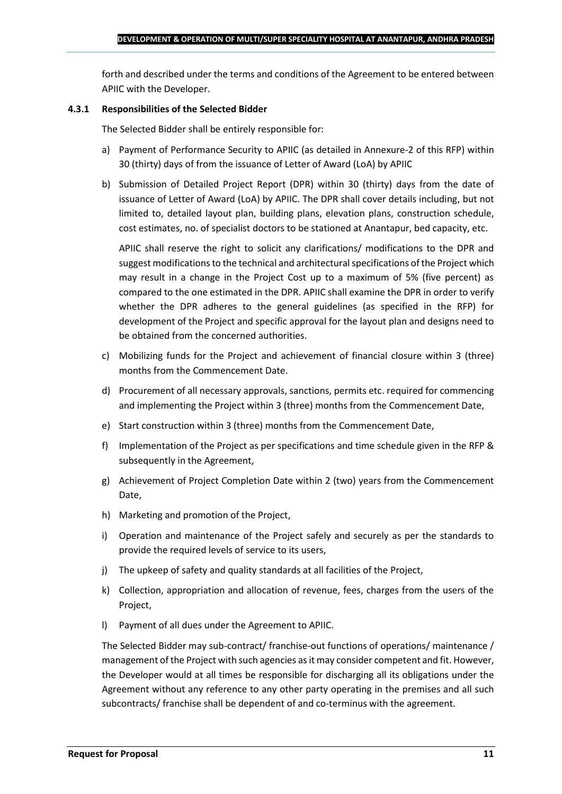forth and described under the terms and conditions of the Agreement to be entered between APIIC with the Developer.

#### **4.3.1 Responsibilities of the Selected Bidder**

The Selected Bidder shall be entirely responsible for:

- a) Payment of Performance Security to APIIC (as detailed in Annexure-2 of this RFP) within 30 (thirty) days of from the issuance of Letter of Award (LoA) by APIIC
- b) Submission of Detailed Project Report (DPR) within 30 (thirty) days from the date of issuance of Letter of Award (LoA) by APIIC. The DPR shall cover details including, but not limited to, detailed layout plan, building plans, elevation plans, construction schedule, cost estimates, no. of specialist doctors to be stationed at Anantapur, bed capacity, etc.

APIIC shall reserve the right to solicit any clarifications/ modifications to the DPR and suggest modifications to the technical and architectural specifications of the Project which may result in a change in the Project Cost up to a maximum of 5% (five percent) as compared to the one estimated in the DPR. APIIC shall examine the DPR in order to verify whether the DPR adheres to the general guidelines (as specified in the RFP) for development of the Project and specific approval for the layout plan and designs need to be obtained from the concerned authorities.

- c) Mobilizing funds for the Project and achievement of financial closure within 3 (three) months from the Commencement Date.
- d) Procurement of all necessary approvals, sanctions, permits etc. required for commencing and implementing the Project within 3 (three) months from the Commencement Date,
- e) Start construction within 3 (three) months from the Commencement Date,
- f) Implementation of the Project as per specifications and time schedule given in the RFP & subsequently in the Agreement,
- g) Achievement of Project Completion Date within 2 (two) years from the Commencement Date,
- h) Marketing and promotion of the Project,
- i) Operation and maintenance of the Project safely and securely as per the standards to provide the required levels of service to its users,
- j) The upkeep of safety and quality standards at all facilities of the Project,
- k) Collection, appropriation and allocation of revenue, fees, charges from the users of the Project,
- l) Payment of all dues under the Agreement to APIIC.

The Selected Bidder may sub-contract/ franchise-out functions of operations/ maintenance / management of the Project with such agencies as it may consider competent and fit. However, the Developer would at all times be responsible for discharging all its obligations under the Agreement without any reference to any other party operating in the premises and all such subcontracts/ franchise shall be dependent of and co-terminus with the agreement.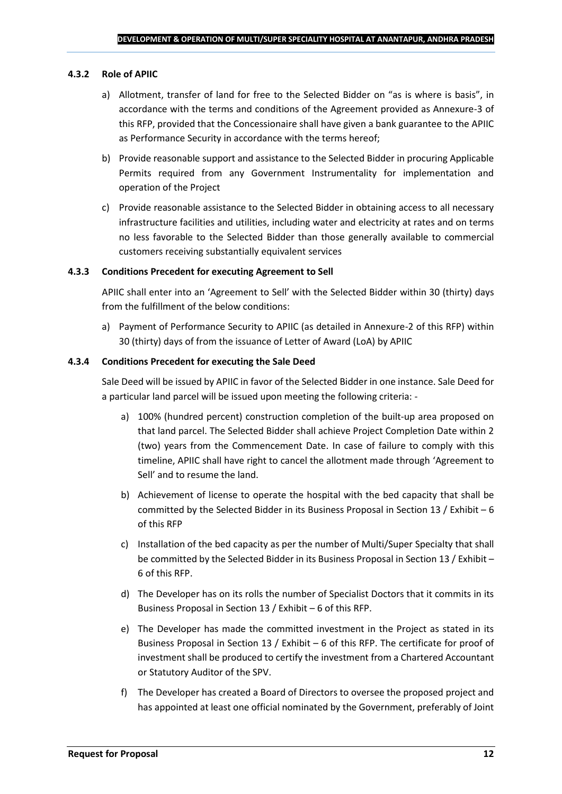#### **4.3.2 Role of APIIC**

- a) Allotment, transfer of land for free to the Selected Bidder on "as is where is basis", in accordance with the terms and conditions of the Agreement provided as Annexure-3 of this RFP, provided that the Concessionaire shall have given a bank guarantee to the APIIC as Performance Security in accordance with the terms hereof;
- b) Provide reasonable support and assistance to the Selected Bidder in procuring Applicable Permits required from any Government Instrumentality for implementation and operation of the Project
- c) Provide reasonable assistance to the Selected Bidder in obtaining access to all necessary infrastructure facilities and utilities, including water and electricity at rates and on terms no less favorable to the Selected Bidder than those generally available to commercial customers receiving substantially equivalent services

#### **4.3.3 Conditions Precedent for executing Agreement to Sell**

APIIC shall enter into an 'Agreement to Sell' with the Selected Bidder within 30 (thirty) days from the fulfillment of the below conditions:

a) Payment of Performance Security to APIIC (as detailed in Annexure-2 of this RFP) within 30 (thirty) days of from the issuance of Letter of Award (LoA) by APIIC

#### **4.3.4 Conditions Precedent for executing the Sale Deed**

Sale Deed will be issued by APIIC in favor of the Selected Bidder in one instance. Sale Deed for a particular land parcel will be issued upon meeting the following criteria: -

- a) 100% (hundred percent) construction completion of the built-up area proposed on that land parcel. The Selected Bidder shall achieve Project Completion Date within 2 (two) years from the Commencement Date. In case of failure to comply with this timeline, APIIC shall have right to cancel the allotment made through 'Agreement to Sell' and to resume the land.
- b) Achievement of license to operate the hospital with the bed capacity that shall be committed by the Selected Bidder in its Business Proposal in Section 13 / Exhibit – 6 of this RFP
- c) Installation of the bed capacity as per the number of Multi/Super Specialty that shall be committed by the Selected Bidder in its Business Proposal in Section 13 / Exhibit – 6 of this RFP.
- d) The Developer has on its rolls the number of Specialist Doctors that it commits in its Business Proposal in Section 13 / Exhibit – 6 of this RFP.
- e) The Developer has made the committed investment in the Project as stated in its Business Proposal in Section 13 / Exhibit – 6 of this RFP. The certificate for proof of investment shall be produced to certify the investment from a Chartered Accountant or Statutory Auditor of the SPV.
- f) The Developer has created a Board of Directors to oversee the proposed project and has appointed at least one official nominated by the Government, preferably of Joint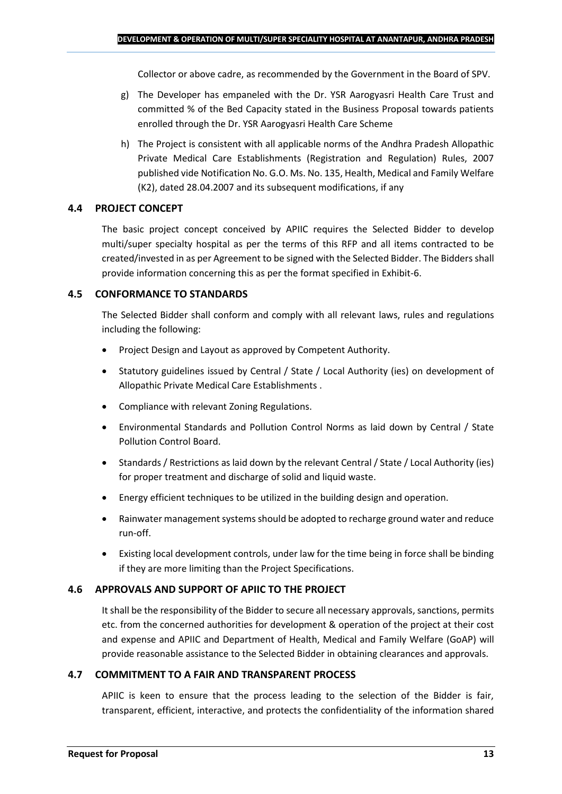Collector or above cadre, as recommended by the Government in the Board of SPV.

- g) The Developer has empaneled with the Dr. YSR Aarogyasri Health Care Trust and committed % of the Bed Capacity stated in the Business Proposal towards patients enrolled through the Dr. YSR Aarogyasri Health Care Scheme
- h) The Project is consistent with all applicable norms of the Andhra Pradesh Allopathic Private Medical Care Establishments (Registration and Regulation) Rules, 2007 published vide Notification No. G.O. Ms. No. 135, Health, Medical and Family Welfare (K2), dated 28.04.2007 and its subsequent modifications, if any

## **4.4 PROJECT CONCEPT**

The basic project concept conceived by APIIC requires the Selected Bidder to develop multi/super specialty hospital as per the terms of this RFP and all items contracted to be created/invested in as per Agreement to be signed with the Selected Bidder. The Bidders shall provide information concerning this as per the format specified in Exhibit-6.

## **4.5 CONFORMANCE TO STANDARDS**

The Selected Bidder shall conform and comply with all relevant laws, rules and regulations including the following:

- Project Design and Layout as approved by Competent Authority.
- Statutory guidelines issued by Central / State / Local Authority (ies) on development of Allopathic Private Medical Care Establishments .
- Compliance with relevant Zoning Regulations.
- Environmental Standards and Pollution Control Norms as laid down by Central / State Pollution Control Board.
- Standards / Restrictions as laid down by the relevant Central / State / Local Authority (ies) for proper treatment and discharge of solid and liquid waste.
- Energy efficient techniques to be utilized in the building design and operation.
- Rainwater management systems should be adopted to recharge ground water and reduce run-off.
- Existing local development controls, under law for the time being in force shall be binding if they are more limiting than the Project Specifications.

## **4.6 APPROVALS AND SUPPORT OF APIIC TO THE PROJECT**

It shall be the responsibility of the Bidder to secure all necessary approvals, sanctions, permits etc. from the concerned authorities for development & operation of the project at their cost and expense and APIIC and Department of Health, Medical and Family Welfare (GoAP) will provide reasonable assistance to the Selected Bidder in obtaining clearances and approvals.

## **4.7 COMMITMENT TO A FAIR AND TRANSPARENT PROCESS**

APIIC is keen to ensure that the process leading to the selection of the Bidder is fair, transparent, efficient, interactive, and protects the confidentiality of the information shared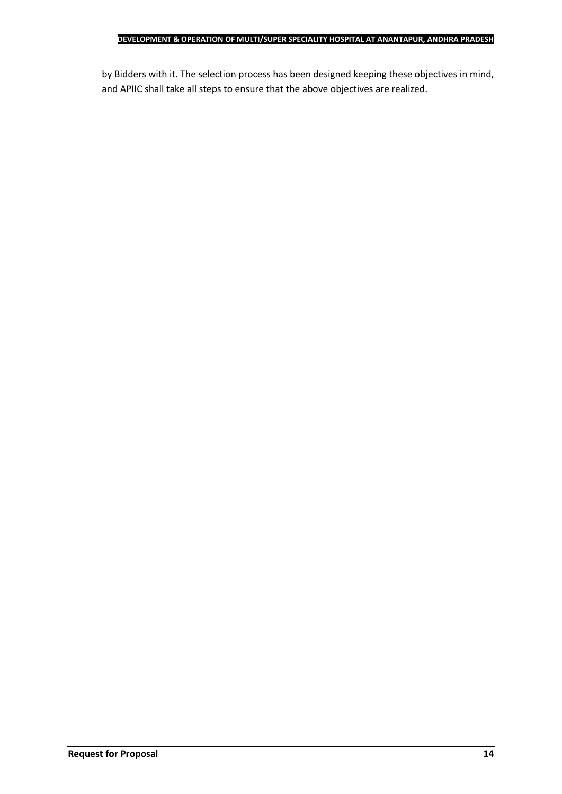by Bidders with it. The selection process has been designed keeping these objectives in mind, and APIIC shall take all steps to ensure that the above objectives are realized.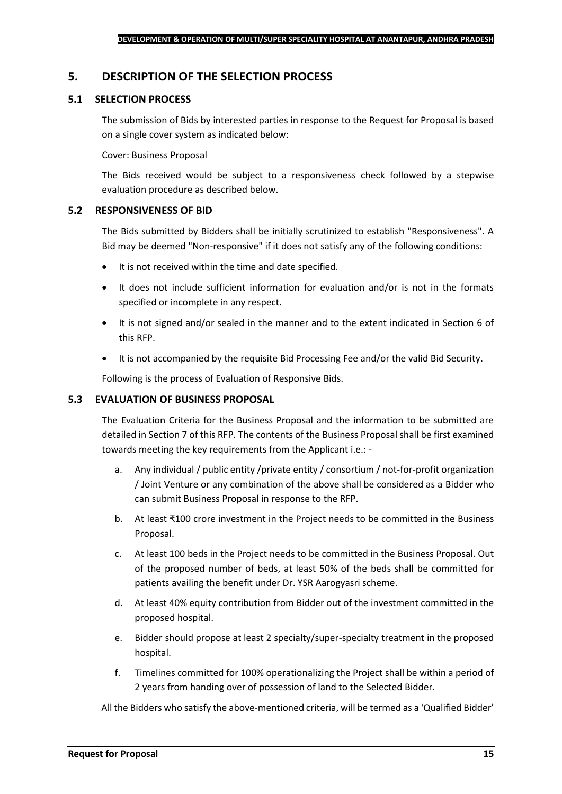## <span id="page-14-0"></span>**5. DESCRIPTION OF THE SELECTION PROCESS**

## **5.1 SELECTION PROCESS**

The submission of Bids by interested parties in response to the Request for Proposal is based on a single cover system as indicated below:

#### Cover: Business Proposal

The Bids received would be subject to a responsiveness check followed by a stepwise evaluation procedure as described below.

#### **5.2 RESPONSIVENESS OF BID**

The Bids submitted by Bidders shall be initially scrutinized to establish "Responsiveness". A Bid may be deemed "Non-responsive" if it does not satisfy any of the following conditions:

- It is not received within the time and date specified.
- It does not include sufficient information for evaluation and/or is not in the formats specified or incomplete in any respect.
- It is not signed and/or sealed in the manner and to the extent indicated in Section 6 of this RFP.
- It is not accompanied by the requisite Bid Processing Fee and/or the valid Bid Security.

Following is the process of Evaluation of Responsive Bids.

#### **5.3 EVALUATION OF BUSINESS PROPOSAL**

The Evaluation Criteria for the Business Proposal and the information to be submitted are detailed in Section 7 of this RFP. The contents of the Business Proposal shall be first examined towards meeting the key requirements from the Applicant i.e.: -

- a. Any individual / public entity / private entity / consortium / not-for-profit organization / Joint Venture or any combination of the above shall be considered as a Bidder who can submit Business Proposal in response to the RFP.
- b. At least ₹100 crore investment in the Project needs to be committed in the Business Proposal.
- c. At least 100 beds in the Project needs to be committed in the Business Proposal. Out of the proposed number of beds, at least 50% of the beds shall be committed for patients availing the benefit under Dr. YSR Aarogyasri scheme.
- d. At least 40% equity contribution from Bidder out of the investment committed in the proposed hospital.
- e. Bidder should propose at least 2 specialty/super-specialty treatment in the proposed hospital.
- f. Timelines committed for 100% operationalizing the Project shall be within a period of 2 years from handing over of possession of land to the Selected Bidder.

All the Bidders who satisfy the above-mentioned criteria, will be termed as a 'Qualified Bidder'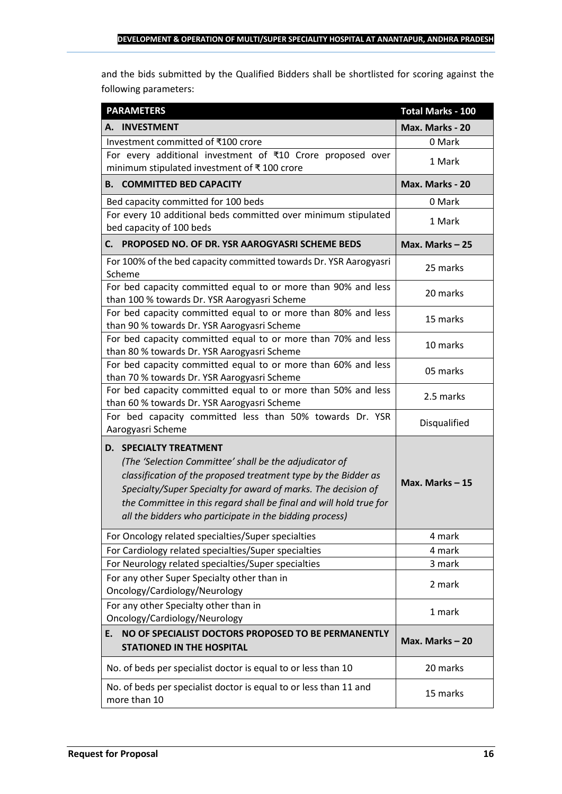and the bids submitted by the Qualified Bidders shall be shortlisted for scoring against the following parameters:

| <b>PARAMETERS</b>                                                                                                                                                                                                                                                                                                                                           | <b>Total Marks - 100</b> |
|-------------------------------------------------------------------------------------------------------------------------------------------------------------------------------------------------------------------------------------------------------------------------------------------------------------------------------------------------------------|--------------------------|
| A. INVESTMENT                                                                                                                                                                                                                                                                                                                                               | Max. Marks - 20          |
| Investment committed of ₹100 crore                                                                                                                                                                                                                                                                                                                          | 0 Mark                   |
| For every additional investment of ₹10 Crore proposed over<br>minimum stipulated investment of ₹100 crore                                                                                                                                                                                                                                                   | 1 Mark                   |
| <b>B. COMMITTED BED CAPACITY</b>                                                                                                                                                                                                                                                                                                                            | Max. Marks - 20          |
| Bed capacity committed for 100 beds                                                                                                                                                                                                                                                                                                                         | 0 Mark                   |
| For every 10 additional beds committed over minimum stipulated<br>bed capacity of 100 beds                                                                                                                                                                                                                                                                  | 1 Mark                   |
| PROPOSED NO. OF DR. YSR AAROGYASRI SCHEME BEDS<br>C. I                                                                                                                                                                                                                                                                                                      | Max. Marks $-25$         |
| For 100% of the bed capacity committed towards Dr. YSR Aarogyasri<br>Scheme                                                                                                                                                                                                                                                                                 | 25 marks                 |
| For bed capacity committed equal to or more than 90% and less<br>than 100 % towards Dr. YSR Aarogyasri Scheme                                                                                                                                                                                                                                               | 20 marks                 |
| For bed capacity committed equal to or more than 80% and less<br>than 90 % towards Dr. YSR Aarogyasri Scheme                                                                                                                                                                                                                                                | 15 marks                 |
| For bed capacity committed equal to or more than 70% and less<br>than 80 % towards Dr. YSR Aarogyasri Scheme                                                                                                                                                                                                                                                | 10 marks                 |
| For bed capacity committed equal to or more than 60% and less<br>than 70 % towards Dr. YSR Aarogyasri Scheme                                                                                                                                                                                                                                                | 05 marks                 |
| For bed capacity committed equal to or more than 50% and less<br>than 60 % towards Dr. YSR Aarogyasri Scheme                                                                                                                                                                                                                                                | 2.5 marks                |
| For bed capacity committed less than 50% towards Dr. YSR<br>Aarogyasri Scheme                                                                                                                                                                                                                                                                               | Disqualified             |
| <b>D. SPECIALTY TREATMENT</b><br>(The 'Selection Committee' shall be the adjudicator of<br>classification of the proposed treatment type by the Bidder as<br>Specialty/Super Specialty for award of marks. The decision of<br>the Committee in this regard shall be final and will hold true for<br>all the bidders who participate in the bidding process) | Max. Marks $-15$         |
| For Oncology related specialties/Super specialties                                                                                                                                                                                                                                                                                                          | 4 mark                   |
| For Cardiology related specialties/Super specialties                                                                                                                                                                                                                                                                                                        | 4 mark                   |
| For Neurology related specialties/Super specialties                                                                                                                                                                                                                                                                                                         | 3 mark                   |
| For any other Super Specialty other than in<br>Oncology/Cardiology/Neurology                                                                                                                                                                                                                                                                                | 2 mark                   |
| For any other Specialty other than in<br>Oncology/Cardiology/Neurology                                                                                                                                                                                                                                                                                      | 1 mark                   |
| NO OF SPECIALIST DOCTORS PROPOSED TO BE PERMANENTLY<br>Е.<br><b>STATIONED IN THE HOSPITAL</b>                                                                                                                                                                                                                                                               | Max. Marks $-20$         |
| No. of beds per specialist doctor is equal to or less than 10                                                                                                                                                                                                                                                                                               | 20 marks                 |
| No. of beds per specialist doctor is equal to or less than 11 and<br>more than 10                                                                                                                                                                                                                                                                           | 15 marks                 |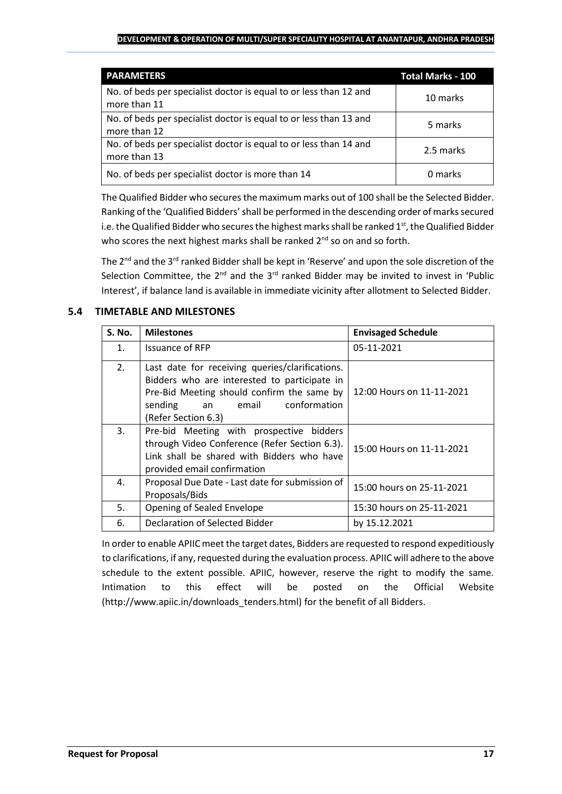#### **DEVELOPMENT & OPERATION OF MULTI/SUPER SPECIALITY HOSPITAL AT ANANTAPUR, ANDHRA PRADESH**

| <b>PARAMETERS</b>                                                                 | <b>Total Marks - 100</b> |
|-----------------------------------------------------------------------------------|--------------------------|
| No. of beds per specialist doctor is equal to or less than 12 and<br>more than 11 | 10 marks                 |
| No. of beds per specialist doctor is equal to or less than 13 and<br>more than 12 | 5 marks                  |
| No. of beds per specialist doctor is equal to or less than 14 and<br>more than 13 | 2.5 marks                |
| No. of beds per specialist doctor is more than 14                                 | 0 marks                  |

The Qualified Bidder who securesthe maximum marks out of 100 shall be the Selected Bidder. Ranking of the 'Qualified Bidders'shall be performed in the descending order of marks secured i.e. the Qualified Bidder who secures the highest marks shall be ranked  $1<sup>st</sup>$ , the Qualified Bidder who scores the next highest marks shall be ranked  $2^{nd}$  so on and so forth.

The 2<sup>nd</sup> and the 3<sup>rd</sup> ranked Bidder shall be kept in 'Reserve' and upon the sole discretion of the Selection Committee, the  $2^{nd}$  and the  $3^{rd}$  ranked Bidder may be invited to invest in 'Public Interest', if balance land is available in immediate vicinity after allotment to Selected Bidder.

## **5.4 TIMETABLE AND MILESTONES**

| <b>S. No.</b>  | <b>Milestones</b>                                                                                                                                                                                           | <b>Envisaged Schedule</b> |
|----------------|-------------------------------------------------------------------------------------------------------------------------------------------------------------------------------------------------------------|---------------------------|
| $\mathbf{1}$ . | Issuance of RFP                                                                                                                                                                                             | 05-11-2021                |
| 2.             | Last date for receiving queries/clarifications.<br>Bidders who are interested to participate in<br>Pre-Bid Meeting should confirm the same by<br>conformation<br>sending<br>an email<br>(Refer Section 6.3) | 12:00 Hours on 11-11-2021 |
| 3.             | Pre-bid Meeting with prospective bidders<br>through Video Conference (Refer Section 6.3).<br>Link shall be shared with Bidders who have<br>provided email confirmation                                      | 15:00 Hours on 11-11-2021 |
| 4.             | Proposal Due Date - Last date for submission of<br>Proposals/Bids                                                                                                                                           | 15:00 hours on 25-11-2021 |
| 5.             | Opening of Sealed Envelope                                                                                                                                                                                  | 15:30 hours on 25-11-2021 |
| 6.             | Declaration of Selected Bidder                                                                                                                                                                              | by 15.12.2021             |

In order to enable APIIC meet the target dates, Bidders are requested to respond expeditiously to clarifications, if any, requested during the evaluation process. APIIC will adhere to the above schedule to the extent possible. APIIC, however, reserve the right to modify the same. Intimation to this effect will be posted on the Official Website (http://www.apiic.in/downloads\_tenders.html) for the benefit of all Bidders.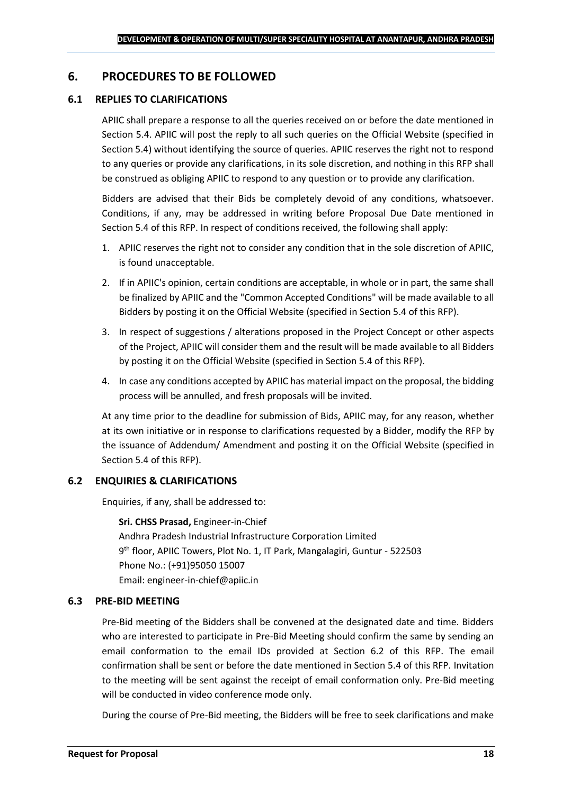## <span id="page-17-0"></span>**6. PROCEDURES TO BE FOLLOWED**

#### **6.1 REPLIES TO CLARIFICATIONS**

APIIC shall prepare a response to all the queries received on or before the date mentioned in Section 5.4. APIIC will post the reply to all such queries on the Official Website (specified in Section 5.4) without identifying the source of queries. APIIC reserves the right not to respond to any queries or provide any clarifications, in its sole discretion, and nothing in this RFP shall be construed as obliging APIIC to respond to any question or to provide any clarification.

Bidders are advised that their Bids be completely devoid of any conditions, whatsoever. Conditions, if any, may be addressed in writing before Proposal Due Date mentioned in Section 5.4 of this RFP. In respect of conditions received, the following shall apply:

- 1. APIIC reserves the right not to consider any condition that in the sole discretion of APIIC, is found unacceptable.
- 2. If in APIIC's opinion, certain conditions are acceptable, in whole or in part, the same shall be finalized by APIIC and the "Common Accepted Conditions" will be made available to all Bidders by posting it on the Official Website (specified in Section 5.4 of this RFP).
- 3. In respect of suggestions / alterations proposed in the Project Concept or other aspects of the Project, APIIC will consider them and the result will be made available to all Bidders by posting it on the Official Website (specified in Section 5.4 of this RFP).
- 4. In case any conditions accepted by APIIC has material impact on the proposal, the bidding process will be annulled, and fresh proposals will be invited.

At any time prior to the deadline for submission of Bids, APIIC may, for any reason, whether at its own initiative or in response to clarifications requested by a Bidder, modify the RFP by the issuance of Addendum/ Amendment and posting it on the Official Website (specified in Section 5.4 of this RFP).

## **6.2 ENQUIRIES & CLARIFICATIONS**

Enquiries, if any, shall be addressed to:

**Sri. CHSS Prasad,** Engineer-in-Chief Andhra Pradesh Industrial Infrastructure Corporation Limited 9 th floor, APIIC Towers, Plot No. 1, IT Park, Mangalagiri, Guntur - 522503 Phone No.: (+91)95050 15007 Email: engineer-in-chief@apiic.in

#### **6.3 PRE-BID MEETING**

Pre-Bid meeting of the Bidders shall be convened at the designated date and time. Bidders who are interested to participate in Pre-Bid Meeting should confirm the same by sending an email conformation to the email IDs provided at Section 6.2 of this RFP. The email confirmation shall be sent or before the date mentioned in Section 5.4 of this RFP. Invitation to the meeting will be sent against the receipt of email conformation only. Pre-Bid meeting will be conducted in video conference mode only.

During the course of Pre-Bid meeting, the Bidders will be free to seek clarifications and make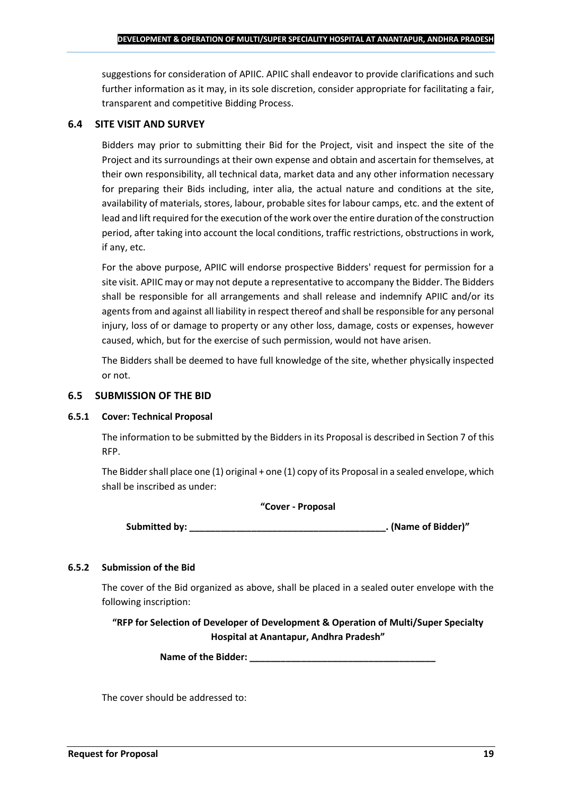suggestions for consideration of APIIC. APIIC shall endeavor to provide clarifications and such further information as it may, in its sole discretion, consider appropriate for facilitating a fair, transparent and competitive Bidding Process.

#### **6.4 SITE VISIT AND SURVEY**

Bidders may prior to submitting their Bid for the Project, visit and inspect the site of the Project and its surroundings at their own expense and obtain and ascertain for themselves, at their own responsibility, all technical data, market data and any other information necessary for preparing their Bids including, inter alia, the actual nature and conditions at the site, availability of materials, stores, labour, probable sites for labour camps, etc. and the extent of lead and lift required for the execution of the work over the entire duration of the construction period, after taking into account the local conditions, traffic restrictions, obstructions in work, if any, etc.

For the above purpose, APIIC will endorse prospective Bidders' request for permission for a site visit. APIIC may or may not depute a representative to accompany the Bidder. The Bidders shall be responsible for all arrangements and shall release and indemnify APIIC and/or its agents from and against all liability in respect thereof and shall be responsible for any personal injury, loss of or damage to property or any other loss, damage, costs or expenses, however caused, which, but for the exercise of such permission, would not have arisen.

The Bidders shall be deemed to have full knowledge of the site, whether physically inspected or not.

#### **6.5 SUBMISSION OF THE BID**

#### **6.5.1 Cover: Technical Proposal**

The information to be submitted by the Bidders in its Proposal is described in Section 7 of this RFP.

The Bidder shall place one (1) original + one (1) copy of its Proposal in a sealed envelope, which shall be inscribed as under:

#### **"Cover - Proposal**

**Submitted by: \_\_\_\_\_\_\_\_\_\_\_\_\_\_\_\_\_\_\_\_\_\_\_\_\_\_\_\_\_\_\_\_\_\_\_\_\_\_. (Name of Bidder)"**

## **6.5.2 Submission of the Bid**

The cover of the Bid organized as above, shall be placed in a sealed outer envelope with the following inscription:

**"RFP for Selection of Developer of Development & Operation of Multi/Super Specialty Hospital at Anantapur, Andhra Pradesh"**

Name of the Bidder: **We are also assumed to the Bidder:** 

The cover should be addressed to: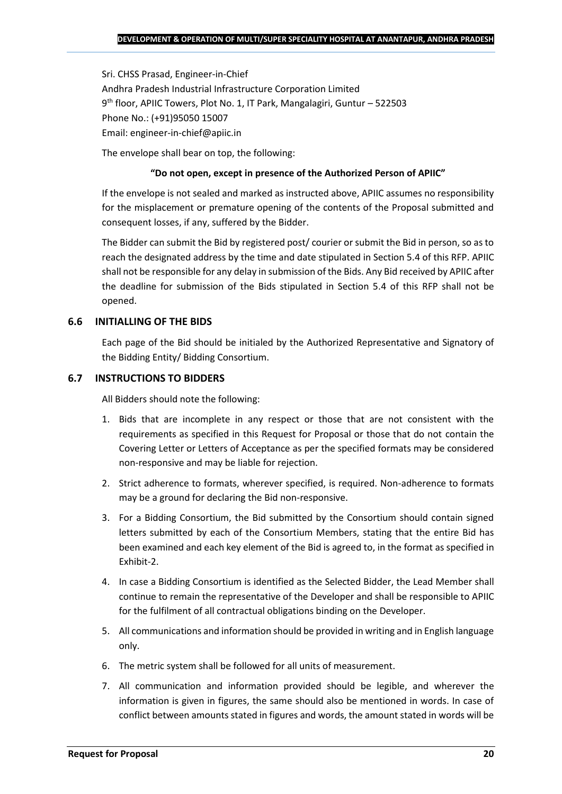Sri. CHSS Prasad, Engineer-in-Chief Andhra Pradesh Industrial Infrastructure Corporation Limited 9 th floor, APIIC Towers, Plot No. 1, IT Park, Mangalagiri, Guntur – 522503 Phone No.: (+91)95050 15007 Email: engineer-in-chief@apiic.in

The envelope shall bear on top, the following:

#### **"Do not open, except in presence of the Authorized Person of APIIC"**

If the envelope is not sealed and marked as instructed above, APIIC assumes no responsibility for the misplacement or premature opening of the contents of the Proposal submitted and consequent losses, if any, suffered by the Bidder.

The Bidder can submit the Bid by registered post/ courier or submit the Bid in person, so as to reach the designated address by the time and date stipulated in Section 5.4 of this RFP. APIIC shall not be responsible for any delay in submission of the Bids. Any Bid received by APIIC after the deadline for submission of the Bids stipulated in Section 5.4 of this RFP shall not be opened.

## **6.6 INITIALLING OF THE BIDS**

Each page of the Bid should be initialed by the Authorized Representative and Signatory of the Bidding Entity/ Bidding Consortium.

#### **6.7 INSTRUCTIONS TO BIDDERS**

All Bidders should note the following:

- 1. Bids that are incomplete in any respect or those that are not consistent with the requirements as specified in this Request for Proposal or those that do not contain the Covering Letter or Letters of Acceptance as per the specified formats may be considered non-responsive and may be liable for rejection.
- 2. Strict adherence to formats, wherever specified, is required. Non-adherence to formats may be a ground for declaring the Bid non-responsive.
- 3. For a Bidding Consortium, the Bid submitted by the Consortium should contain signed letters submitted by each of the Consortium Members, stating that the entire Bid has been examined and each key element of the Bid is agreed to, in the format as specified in Exhibit-2.
- 4. In case a Bidding Consortium is identified as the Selected Bidder, the Lead Member shall continue to remain the representative of the Developer and shall be responsible to APIIC for the fulfilment of all contractual obligations binding on the Developer.
- 5. All communications and information should be provided in writing and in English language only.
- 6. The metric system shall be followed for all units of measurement.
- 7. All communication and information provided should be legible, and wherever the information is given in figures, the same should also be mentioned in words. In case of conflict between amounts stated in figures and words, the amount stated in words will be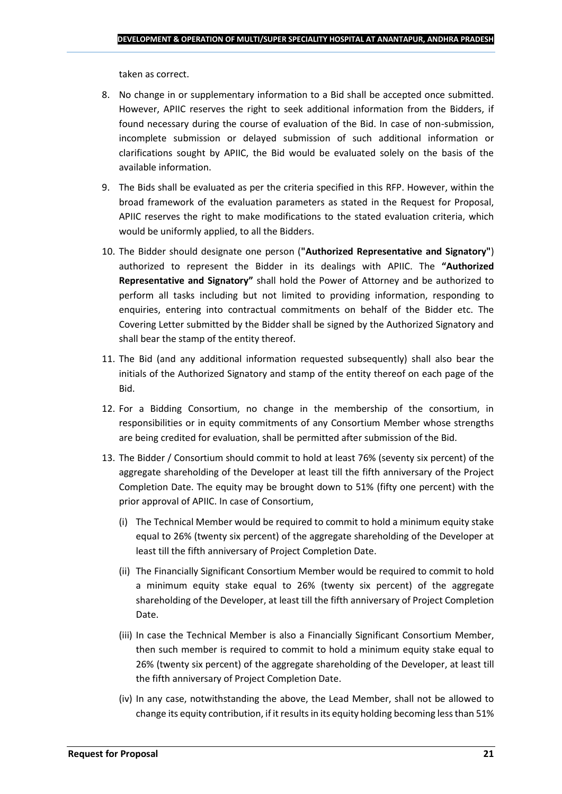taken as correct.

- 8. No change in or supplementary information to a Bid shall be accepted once submitted. However, APIIC reserves the right to seek additional information from the Bidders, if found necessary during the course of evaluation of the Bid. In case of non-submission, incomplete submission or delayed submission of such additional information or clarifications sought by APIIC, the Bid would be evaluated solely on the basis of the available information.
- 9. The Bids shall be evaluated as per the criteria specified in this RFP. However, within the broad framework of the evaluation parameters as stated in the Request for Proposal, APIIC reserves the right to make modifications to the stated evaluation criteria, which would be uniformly applied, to all the Bidders.
- 10. The Bidder should designate one person (**"Authorized Representative and Signatory"**) authorized to represent the Bidder in its dealings with APIIC. The **"Authorized Representative and Signatory"** shall hold the Power of Attorney and be authorized to perform all tasks including but not limited to providing information, responding to enquiries, entering into contractual commitments on behalf of the Bidder etc. The Covering Letter submitted by the Bidder shall be signed by the Authorized Signatory and shall bear the stamp of the entity thereof.
- 11. The Bid (and any additional information requested subsequently) shall also bear the initials of the Authorized Signatory and stamp of the entity thereof on each page of the Bid.
- 12. For a Bidding Consortium, no change in the membership of the consortium, in responsibilities or in equity commitments of any Consortium Member whose strengths are being credited for evaluation, shall be permitted after submission of the Bid.
- 13. The Bidder / Consortium should commit to hold at least 76% (seventy six percent) of the aggregate shareholding of the Developer at least till the fifth anniversary of the Project Completion Date. The equity may be brought down to 51% (fifty one percent) with the prior approval of APIIC. In case of Consortium,
	- (i) The Technical Member would be required to commit to hold a minimum equity stake equal to 26% (twenty six percent) of the aggregate shareholding of the Developer at least till the fifth anniversary of Project Completion Date.
	- (ii) The Financially Significant Consortium Member would be required to commit to hold a minimum equity stake equal to 26% (twenty six percent) of the aggregate shareholding of the Developer, at least till the fifth anniversary of Project Completion Date.
	- (iii) In case the Technical Member is also a Financially Significant Consortium Member, then such member is required to commit to hold a minimum equity stake equal to 26% (twenty six percent) of the aggregate shareholding of the Developer, at least till the fifth anniversary of Project Completion Date.
	- (iv) In any case, notwithstanding the above, the Lead Member, shall not be allowed to change its equity contribution, if it results in its equity holding becoming less than 51%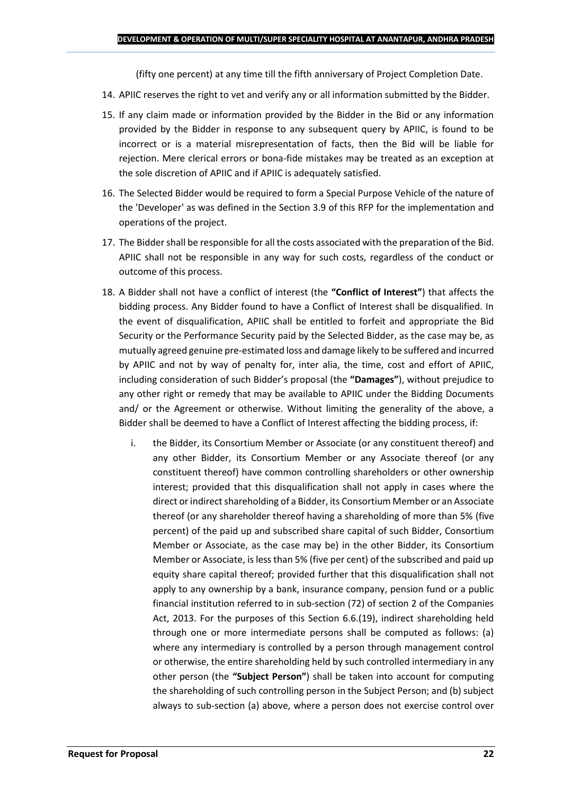(fifty one percent) at any time till the fifth anniversary of Project Completion Date.

- 14. APIIC reserves the right to vet and verify any or all information submitted by the Bidder.
- 15. If any claim made or information provided by the Bidder in the Bid or any information provided by the Bidder in response to any subsequent query by APIIC, is found to be incorrect or is a material misrepresentation of facts, then the Bid will be liable for rejection. Mere clerical errors or bona-fide mistakes may be treated as an exception at the sole discretion of APIIC and if APIIC is adequately satisfied.
- 16. The Selected Bidder would be required to form a Special Purpose Vehicle of the nature of the 'Developer' as was defined in the Section 3.9 of this RFP for the implementation and operations of the project.
- 17. The Bidder shall be responsible for all the costs associated with the preparation of the Bid. APIIC shall not be responsible in any way for such costs, regardless of the conduct or outcome of this process.
- 18. A Bidder shall not have a conflict of interest (the **"Conflict of Interest"**) that affects the bidding process. Any Bidder found to have a Conflict of Interest shall be disqualified. In the event of disqualification, APIIC shall be entitled to forfeit and appropriate the Bid Security or the Performance Security paid by the Selected Bidder, as the case may be, as mutually agreed genuine pre-estimated loss and damage likely to be suffered and incurred by APIIC and not by way of penalty for, inter alia, the time, cost and effort of APIIC, including consideration of such Bidder's proposal (the **"Damages"**), without prejudice to any other right or remedy that may be available to APIIC under the Bidding Documents and/ or the Agreement or otherwise. Without limiting the generality of the above, a Bidder shall be deemed to have a Conflict of Interest affecting the bidding process, if:
	- i. the Bidder, its Consortium Member or Associate (or any constituent thereof) and any other Bidder, its Consortium Member or any Associate thereof (or any constituent thereof) have common controlling shareholders or other ownership interest; provided that this disqualification shall not apply in cases where the direct or indirect shareholding of a Bidder, its Consortium Member or an Associate thereof (or any shareholder thereof having a shareholding of more than 5% (five percent) of the paid up and subscribed share capital of such Bidder, Consortium Member or Associate, as the case may be) in the other Bidder, its Consortium Member or Associate, is less than 5% (five per cent) of the subscribed and paid up equity share capital thereof; provided further that this disqualification shall not apply to any ownership by a bank, insurance company, pension fund or a public financial institution referred to in sub-section (72) of section 2 of the Companies Act, 2013. For the purposes of this Section 6.6.(19), indirect shareholding held through one or more intermediate persons shall be computed as follows: (a) where any intermediary is controlled by a person through management control or otherwise, the entire shareholding held by such controlled intermediary in any other person (the **"Subject Person"**) shall be taken into account for computing the shareholding of such controlling person in the Subject Person; and (b) subject always to sub-section (a) above, where a person does not exercise control over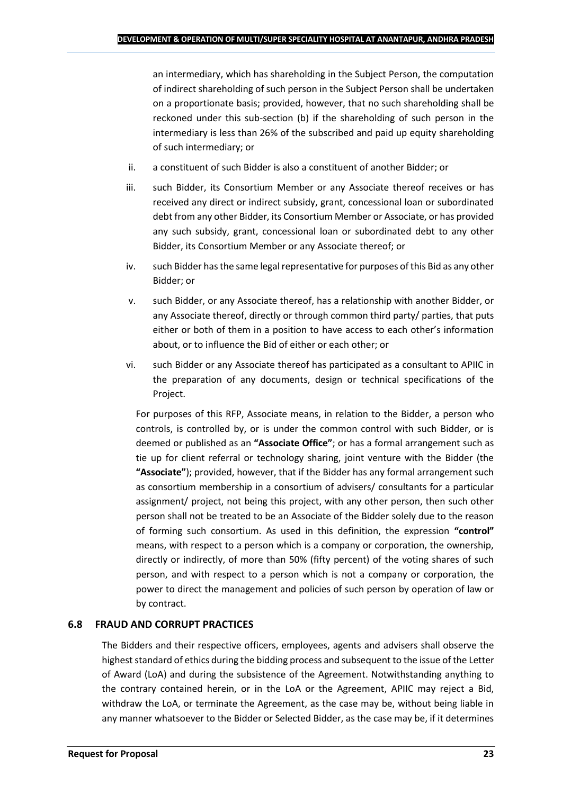an intermediary, which has shareholding in the Subject Person, the computation of indirect shareholding of such person in the Subject Person shall be undertaken on a proportionate basis; provided, however, that no such shareholding shall be reckoned under this sub-section (b) if the shareholding of such person in the intermediary is less than 26% of the subscribed and paid up equity shareholding of such intermediary; or

- ii. a constituent of such Bidder is also a constituent of another Bidder; or
- iii. such Bidder, its Consortium Member or any Associate thereof receives or has received any direct or indirect subsidy, grant, concessional loan or subordinated debt from any other Bidder, its Consortium Member or Associate, or has provided any such subsidy, grant, concessional loan or subordinated debt to any other Bidder, its Consortium Member or any Associate thereof; or
- iv. such Bidder has the same legal representative for purposes of this Bid as any other Bidder; or
- v. such Bidder, or any Associate thereof, has a relationship with another Bidder, or any Associate thereof, directly or through common third party/ parties, that puts either or both of them in a position to have access to each other's information about, or to influence the Bid of either or each other; or
- vi. such Bidder or any Associate thereof has participated as a consultant to APIIC in the preparation of any documents, design or technical specifications of the Project.

For purposes of this RFP, Associate means, in relation to the Bidder, a person who controls, is controlled by, or is under the common control with such Bidder, or is deemed or published as an **"Associate Office"**; or has a formal arrangement such as tie up for client referral or technology sharing, joint venture with the Bidder (the **"Associate"**); provided, however, that if the Bidder has any formal arrangement such as consortium membership in a consortium of advisers/ consultants for a particular assignment/ project, not being this project, with any other person, then such other person shall not be treated to be an Associate of the Bidder solely due to the reason of forming such consortium. As used in this definition, the expression **"control"**  means, with respect to a person which is a company or corporation, the ownership, directly or indirectly, of more than 50% (fifty percent) of the voting shares of such person, and with respect to a person which is not a company or corporation, the power to direct the management and policies of such person by operation of law or by contract.

## **6.8 FRAUD AND CORRUPT PRACTICES**

The Bidders and their respective officers, employees, agents and advisers shall observe the highest standard of ethics during the bidding process and subsequent to the issue of the Letter of Award (LoA) and during the subsistence of the Agreement. Notwithstanding anything to the contrary contained herein, or in the LoA or the Agreement, APIIC may reject a Bid, withdraw the LoA, or terminate the Agreement, as the case may be, without being liable in any manner whatsoever to the Bidder or Selected Bidder, as the case may be, if it determines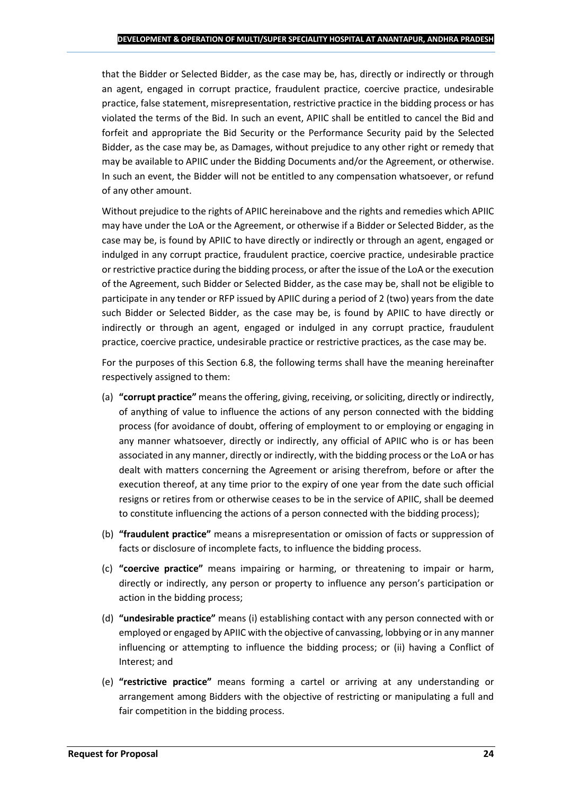that the Bidder or Selected Bidder, as the case may be, has, directly or indirectly or through an agent, engaged in corrupt practice, fraudulent practice, coercive practice, undesirable practice, false statement, misrepresentation, restrictive practice in the bidding process or has violated the terms of the Bid. In such an event, APIIC shall be entitled to cancel the Bid and forfeit and appropriate the Bid Security or the Performance Security paid by the Selected Bidder, as the case may be, as Damages, without prejudice to any other right or remedy that may be available to APIIC under the Bidding Documents and/or the Agreement, or otherwise. In such an event, the Bidder will not be entitled to any compensation whatsoever, or refund of any other amount.

Without prejudice to the rights of APIIC hereinabove and the rights and remedies which APIIC may have under the LoA or the Agreement, or otherwise if a Bidder or Selected Bidder, as the case may be, is found by APIIC to have directly or indirectly or through an agent, engaged or indulged in any corrupt practice, fraudulent practice, coercive practice, undesirable practice or restrictive practice during the bidding process, or after the issue of the LoA or the execution of the Agreement, such Bidder or Selected Bidder, as the case may be, shall not be eligible to participate in any tender or RFP issued by APIIC during a period of 2 (two) years from the date such Bidder or Selected Bidder, as the case may be, is found by APIIC to have directly or indirectly or through an agent, engaged or indulged in any corrupt practice, fraudulent practice, coercive practice, undesirable practice or restrictive practices, as the case may be.

For the purposes of this Section 6.8, the following terms shall have the meaning hereinafter respectively assigned to them:

- (a) **"corrupt practice"** means the offering, giving, receiving, or soliciting, directly or indirectly, of anything of value to influence the actions of any person connected with the bidding process (for avoidance of doubt, offering of employment to or employing or engaging in any manner whatsoever, directly or indirectly, any official of APIIC who is or has been associated in any manner, directly or indirectly, with the bidding process or the LoA or has dealt with matters concerning the Agreement or arising therefrom, before or after the execution thereof, at any time prior to the expiry of one year from the date such official resigns or retires from or otherwise ceases to be in the service of APIIC, shall be deemed to constitute influencing the actions of a person connected with the bidding process);
- (b) **"fraudulent practice"** means a misrepresentation or omission of facts or suppression of facts or disclosure of incomplete facts, to influence the bidding process.
- (c) **"coercive practice"** means impairing or harming, or threatening to impair or harm, directly or indirectly, any person or property to influence any person's participation or action in the bidding process;
- (d) **"undesirable practice"** means (i) establishing contact with any person connected with or employed or engaged by APIIC with the objective of canvassing, lobbying or in any manner influencing or attempting to influence the bidding process; or (ii) having a Conflict of Interest; and
- (e) **"restrictive practice"** means forming a cartel or arriving at any understanding or arrangement among Bidders with the objective of restricting or manipulating a full and fair competition in the bidding process.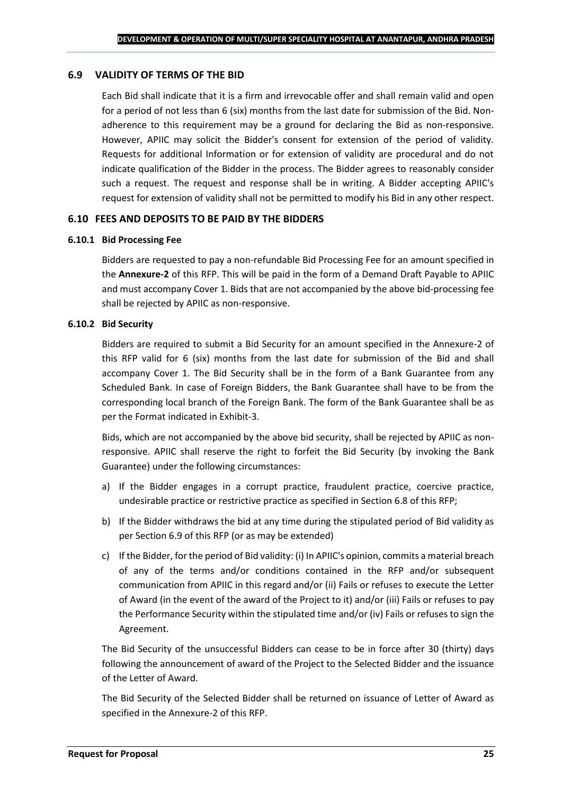#### **6.9 VALIDITY OF TERMS OF THE BID**

Each Bid shall indicate that it is a firm and irrevocable offer and shall remain valid and open for a period of not less than 6 (six) months from the last date for submission of the Bid. Nonadherence to this requirement may be a ground for declaring the Bid as non-responsive. However, APIIC may solicit the Bidder's consent for extension of the period of validity. Requests for additional Information or for extension of validity are procedural and do not indicate qualification of the Bidder in the process. The Bidder agrees to reasonably consider such a request. The request and response shall be in writing. A Bidder accepting APIIC's request for extension of validity shall not be permitted to modify his Bid in any other respect.

#### **6.10 FEES AND DEPOSITS TO BE PAID BY THE BIDDERS**

#### **6.10.1 Bid Processing Fee**

Bidders are requested to pay a non-refundable Bid Processing Fee for an amount specified in the **Annexure-2** of this RFP. This will be paid in the form of a Demand Draft Payable to APIIC and must accompany Cover 1. Bids that are not accompanied by the above bid-processing fee shall be rejected by APIIC as non-responsive.

#### **6.10.2 Bid Security**

Bidders are required to submit a Bid Security for an amount specified in the Annexure-2 of this RFP valid for 6 (six) months from the last date for submission of the Bid and shall accompany Cover 1. The Bid Security shall be in the form of a Bank Guarantee from any Scheduled Bank. In case of Foreign Bidders, the Bank Guarantee shall have to be from the corresponding local branch of the Foreign Bank. The form of the Bank Guarantee shall be as per the Format indicated in Exhibit-3.

Bids, which are not accompanied by the above bid security, shall be rejected by APIIC as nonresponsive. APIIC shall reserve the right to forfeit the Bid Security (by invoking the Bank Guarantee) under the following circumstances:

- a) If the Bidder engages in a corrupt practice, fraudulent practice, coercive practice, undesirable practice or restrictive practice as specified in Section 6.8 of this RFP;
- b) If the Bidder withdraws the bid at any time during the stipulated period of Bid validity as per Section 6.9 of this RFP (or as may be extended)
- c) If the Bidder, for the period of Bid validity: (i) In APIIC's opinion, commits a material breach of any of the terms and/or conditions contained in the RFP and/or subsequent communication from APIIC in this regard and/or (ii) Fails or refuses to execute the Letter of Award (in the event of the award of the Project to it) and/or (iii) Fails or refuses to pay the Performance Security within the stipulated time and/or (iv) Fails or refuses to sign the Agreement.

The Bid Security of the unsuccessful Bidders can cease to be in force after 30 (thirty) days following the announcement of award of the Project to the Selected Bidder and the issuance of the Letter of Award.

The Bid Security of the Selected Bidder shall be returned on issuance of Letter of Award as specified in the Annexure-2 of this RFP.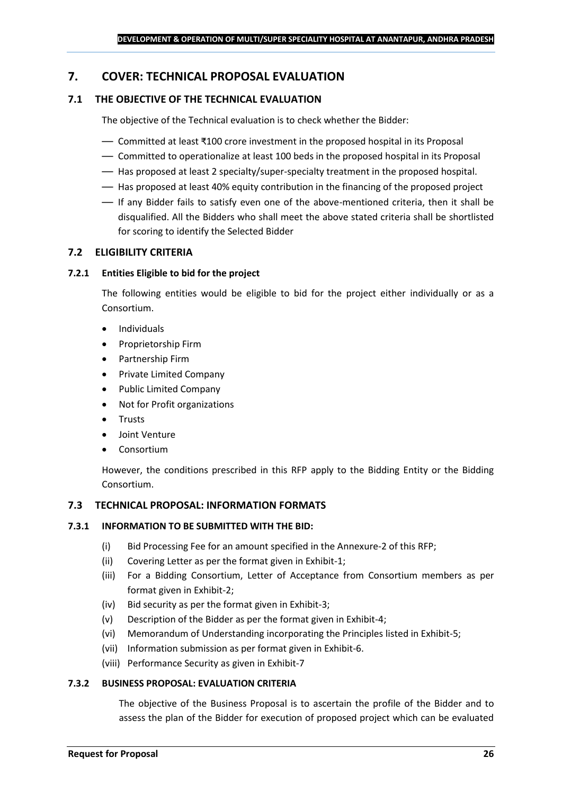## <span id="page-25-0"></span>**7. COVER: TECHNICAL PROPOSAL EVALUATION**

## **7.1 THE OBJECTIVE OF THE TECHNICAL EVALUATION**

The objective of the Technical evaluation is to check whether the Bidder:

- Committed at least ₹100 crore investment in the proposed hospital in its Proposal
- Committed to operationalize at least 100 beds in the proposed hospital in its Proposal
- Has proposed at least 2 specialty/super-specialty treatment in the proposed hospital.
- Has proposed at least 40% equity contribution in the financing of the proposed project
- If any Bidder fails to satisfy even one of the above-mentioned criteria, then it shall be disqualified. All the Bidders who shall meet the above stated criteria shall be shortlisted for scoring to identify the Selected Bidder

## **7.2 ELIGIBILITY CRITERIA**

#### **7.2.1 Entities Eligible to bid for the project**

The following entities would be eligible to bid for the project either individually or as a Consortium.

- Individuals
- Proprietorship Firm
- Partnership Firm
- Private Limited Company
- Public Limited Company
- Not for Profit organizations
- Trusts
- Joint Venture
- **Consortium**

However, the conditions prescribed in this RFP apply to the Bidding Entity or the Bidding Consortium.

#### **7.3 TECHNICAL PROPOSAL: INFORMATION FORMATS**

#### **7.3.1 INFORMATION TO BE SUBMITTED WITH THE BID:**

- (i) Bid Processing Fee for an amount specified in the Annexure-2 of this RFP;
- (ii) Covering Letter as per the format given in Exhibit-1;
- (iii) For a Bidding Consortium, Letter of Acceptance from Consortium members as per format given in Exhibit-2;
- (iv) Bid security as per the format given in Exhibit-3;
- (v) Description of the Bidder as per the format given in Exhibit-4;
- (vi) Memorandum of Understanding incorporating the Principles listed in Exhibit-5;
- (vii) Information submission as per format given in Exhibit-6.
- (viii) Performance Security as given in Exhibit-7

#### **7.3.2 BUSINESS PROPOSAL: EVALUATION CRITERIA**

The objective of the Business Proposal is to ascertain the profile of the Bidder and to assess the plan of the Bidder for execution of proposed project which can be evaluated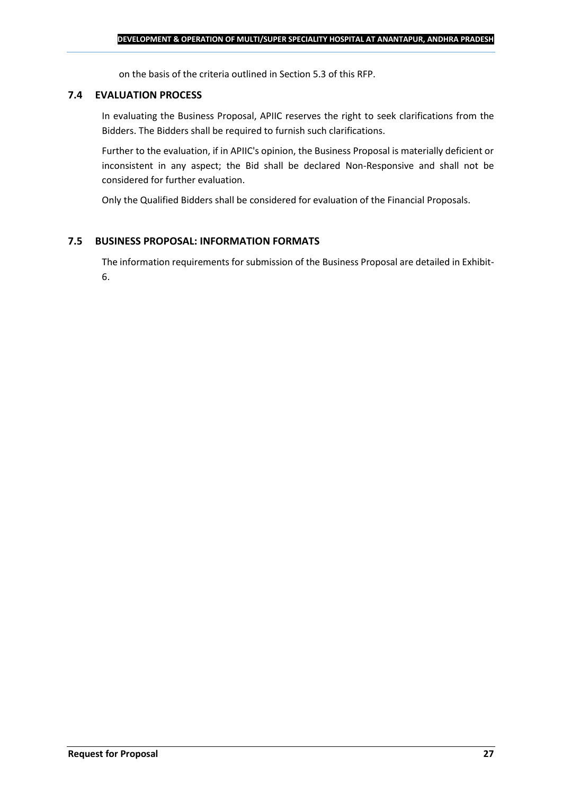on the basis of the criteria outlined in Section 5.3 of this RFP.

#### **7.4 EVALUATION PROCESS**

In evaluating the Business Proposal, APIIC reserves the right to seek clarifications from the Bidders. The Bidders shall be required to furnish such clarifications.

Further to the evaluation, if in APIIC's opinion, the Business Proposal is materially deficient or inconsistent in any aspect; the Bid shall be declared Non-Responsive and shall not be considered for further evaluation.

Only the Qualified Bidders shall be considered for evaluation of the Financial Proposals.

## **7.5 BUSINESS PROPOSAL: INFORMATION FORMATS**

The information requirements for submission of the Business Proposal are detailed in Exhibit-6.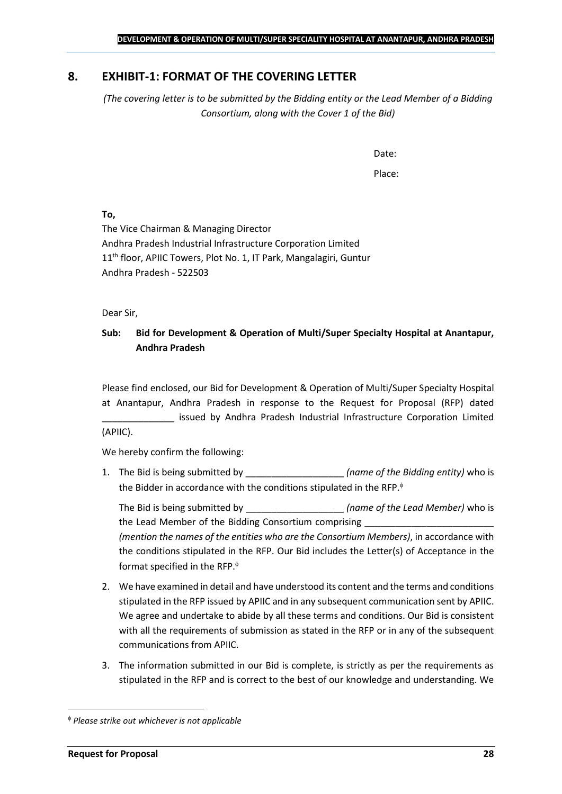## <span id="page-27-0"></span>**8. EXHIBIT-1: FORMAT OF THE COVERING LETTER**

*(The covering letter is to be submitted by the Bidding entity or the Lead Member of a Bidding Consortium, along with the Cover 1 of the Bid)*

Date:

Place:

**To,**

The Vice Chairman & Managing Director Andhra Pradesh Industrial Infrastructure Corporation Limited 11<sup>th</sup> floor, APIIC Towers, Plot No. 1, IT Park, Mangalagiri, Guntur Andhra Pradesh - 522503

Dear Sir,

## **Sub: Bid for Development & Operation of Multi/Super Specialty Hospital at Anantapur, Andhra Pradesh**

Please find enclosed, our Bid for Development & Operation of Multi/Super Specialty Hospital at Anantapur, Andhra Pradesh in response to the Request for Proposal (RFP) dated issued by Andhra Pradesh Industrial Infrastructure Corporation Limited (APIIC).

We hereby confirm the following:

1. The Bid is being submitted by **the intervalle in the Sidding entity**) who is the Bidder in accordance with the conditions stipulated in the RFP.

The Bid is being submitted by **the inclusive in the Solution Contract Contract Contract Contract Contract Contract Contract Contract Contract Contract Contract Contract Contract Contract Contract Contract Contract Contract** the Lead Member of the Bidding Consortium comprising *(mention the names of the entities who are the Consortium Members)*, in accordance with the conditions stipulated in the RFP. Our Bid includes the Letter(s) of Acceptance in the format specified in the RFP.

- 2. We have examined in detail and have understood its content and the terms and conditions stipulated in the RFP issued by APIIC and in any subsequent communication sent by APIIC. We agree and undertake to abide by all these terms and conditions. Our Bid is consistent with all the requirements of submission as stated in the RFP or in any of the subsequent communications from APIIC.
- 3. The information submitted in our Bid is complete, is strictly as per the requirements as stipulated in the RFP and is correct to the best of our knowledge and understanding. We

*Please strike out whichever is not applicable*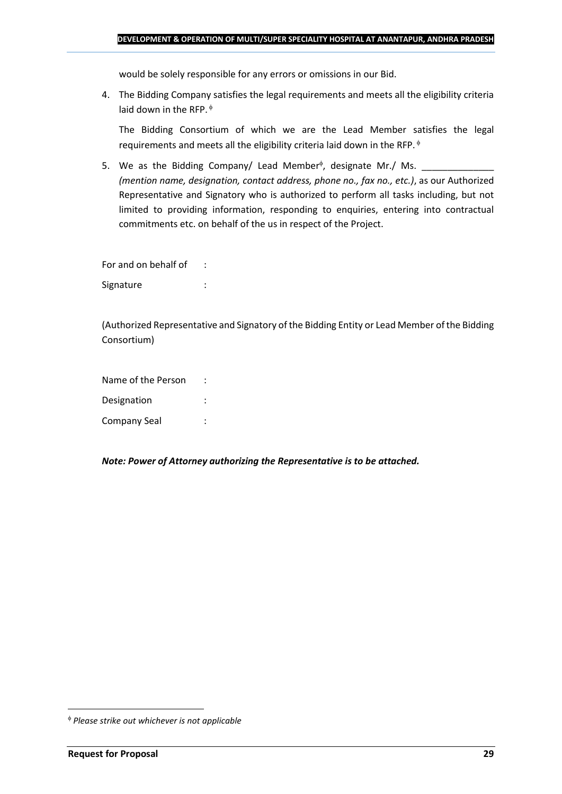would be solely responsible for any errors or omissions in our Bid.

4. The Bidding Company satisfies the legal requirements and meets all the eligibility criteria laid down in the RFP.  $\phi$ 

The Bidding Consortium of which we are the Lead Member satisfies the legal requirements and meets all the eligibility criteria laid down in the RFP.

5. We as the Bidding Company/ Lead Member<sup> $\phi$ </sup>, designate Mr./ Ms.  $\frac{1}{\sqrt{1-\frac{1}{2}}\sqrt{1-\frac{1}{2}}\sqrt{1-\frac{1}{2}}\sqrt{1-\frac{1}{2}}\sqrt{1-\frac{1}{2}}\sqrt{1-\frac{1}{2}}\sqrt{1-\frac{1}{2}}\sqrt{1-\frac{1}{2}}\sqrt{1-\frac{1}{2}}\sqrt{1-\frac{1}{2}}\sqrt{1-\frac{1}{2}}\sqrt{1-\frac{1}{2}}\sqrt{1-\frac{1}{2}}\sqrt{1$ *(mention name, designation, contact address, phone no., fax no., etc.)*, as our Authorized Representative and Signatory who is authorized to perform all tasks including, but not limited to providing information, responding to enquiries, entering into contractual commitments etc. on behalf of the us in respect of the Project.

For and on behalf of : Signature : the state of the state of the state of the state of the state of the state of the state of the state of the state of the state of the state of the state of the state of the state of the state of the state of th

(Authorized Representative and Signatory of the Bidding Entity or Lead Member of the Bidding Consortium)

Name of the Person : Designation : Company Seal :

*Note: Power of Attorney authorizing the Representative is to be attached.*

*Please strike out whichever is not applicable*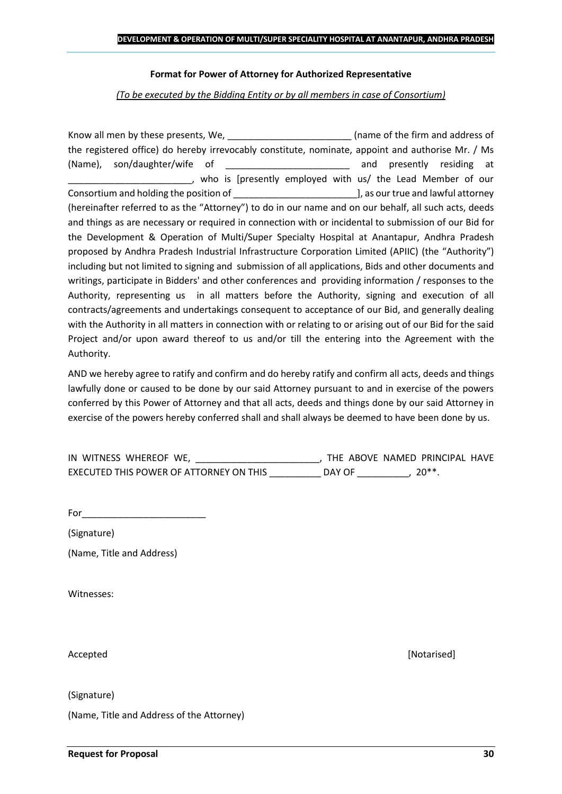#### **Format for Power of Attorney for Authorized Representative**

*(To be executed by the Bidding Entity or by all members in case of Consortium)*

Know all men by these presents, We, the state of the firm and address of the registered office) do hereby irrevocably constitute, nominate, appoint and authorise Mr. / Ms (Name), son/daughter/wife of \_\_\_\_\_\_\_\_\_\_\_\_\_\_\_\_\_\_\_\_\_\_\_\_ and presently residing at who is [presently employed with us/ the Lead Member of our Consortium and holding the position of  $\Box$  . The position of  $\Box$  as our true and lawful attorney (hereinafter referred to as the "Attorney") to do in our name and on our behalf, all such acts, deeds and things as are necessary or required in connection with or incidental to submission of our Bid for the Development & Operation of Multi/Super Specialty Hospital at Anantapur, Andhra Pradesh proposed by Andhra Pradesh Industrial Infrastructure Corporation Limited (APIIC) (the "Authority") including but not limited to signing and submission of all applications, Bids and other documents and writings, participate in Bidders' and other conferences and providing information / responses to the Authority, representing us in all matters before the Authority, signing and execution of all contracts/agreements and undertakings consequent to acceptance of our Bid, and generally dealing with the Authority in all matters in connection with or relating to or arising out of our Bid for the said Project and/or upon award thereof to us and/or till the entering into the Agreement with the Authority.

AND we hereby agree to ratify and confirm and do hereby ratify and confirm all acts, deeds and things lawfully done or caused to be done by our said Attorney pursuant to and in exercise of the powers conferred by this Power of Attorney and that all acts, deeds and things done by our said Attorney in exercise of the powers hereby conferred shall and shall always be deemed to have been done by us.

| IN WITNESS WHEREOF WE,                  |        | THE ABOVE NAMED PRINCIPAL HAVE |  |
|-----------------------------------------|--------|--------------------------------|--|
| EXECUTED THIS POWER OF ATTORNEY ON THIS | DAY OF | $20**$                         |  |

For  $\Box$ 

(Signature)

(Name, Title and Address)

Witnesses:

Accepted [Notarised]

(Signature)

(Name, Title and Address of the Attorney)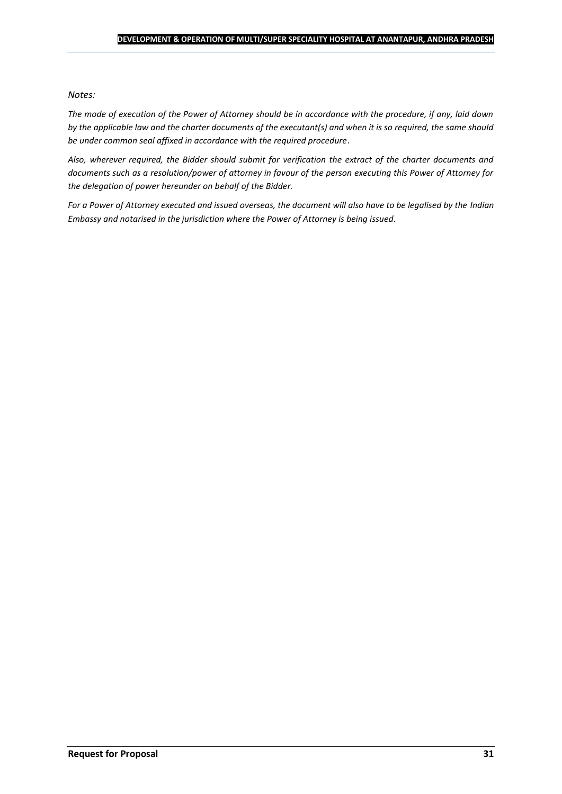#### *Notes:*

*The mode of execution of the Power of Attorney should be in accordance with the procedure, if any, laid down by the applicable law and the charter documents of the executant(s) and when it is so required, the same should be under common seal affixed in accordance with the required procedure*.

*Also, wherever required, the Bidder should submit for verification the extract of the charter documents and documents such as a resolution/power of attorney in favour of the person executing this Power of Attorney for the delegation of power hereunder on behalf of the Bidder.* 

For a Power of Attorney executed and issued overseas, the document will also have to be legalised by the *Indian Embassy and notarised in the jurisdiction where the Power of Attorney is being issued.*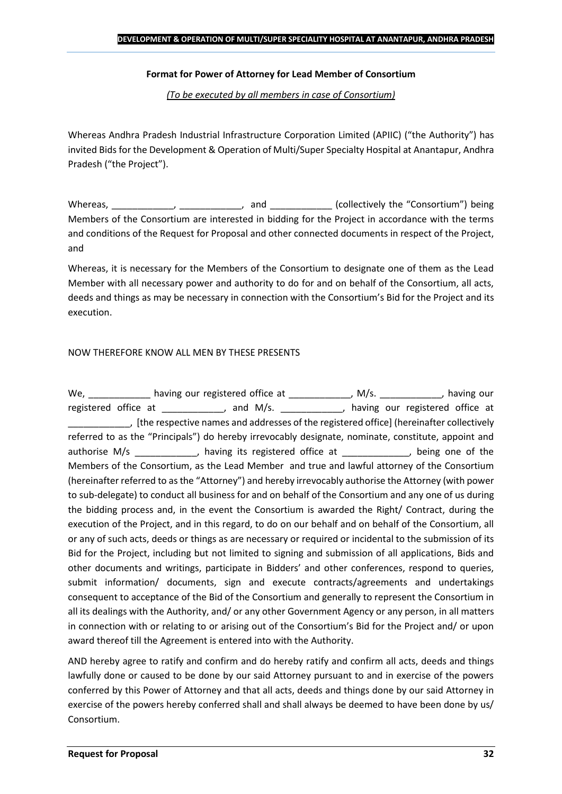### **Format for Power of Attorney for Lead Member of Consortium**

*(To be executed by all members in case of Consortium)*

Whereas Andhra Pradesh Industrial Infrastructure Corporation Limited (APIIC) ("the Authority") has invited Bids for the Development & Operation of Multi/Super Specialty Hospital at Anantapur, Andhra Pradesh ("the Project").

Whereas, \_\_\_\_\_\_\_\_\_\_\_\_, \_\_\_\_\_\_\_\_\_\_\_, and \_\_\_\_\_\_\_\_\_\_\_\_ (collectively the "Consortium") being Members of the Consortium are interested in bidding for the Project in accordance with the terms and conditions of the Request for Proposal and other connected documents in respect of the Project, and

Whereas, it is necessary for the Members of the Consortium to designate one of them as the Lead Member with all necessary power and authority to do for and on behalf of the Consortium, all acts, deeds and things as may be necessary in connection with the Consortium's Bid for the Project and its execution.

## NOW THEREFORE KNOW ALL MEN BY THESE PRESENTS

We, \_\_\_\_\_\_\_\_\_\_\_\_\_ having our registered office at \_\_\_\_\_\_\_\_\_\_\_\_\_, M/s. \_\_\_\_\_\_\_\_\_\_\_, having our registered office at \_\_\_\_\_\_\_\_\_\_, and M/s. \_\_\_\_\_\_\_\_\_\_, having our registered office at \_\_\_\_\_\_\_\_\_\_\_\_, [the respective names and addresses of the registered office] (hereinafter collectively referred to as the "Principals") do hereby irrevocably designate, nominate, constitute, appoint and authorise M/s \_\_\_\_\_\_\_\_\_\_\_, having its registered office at  $\qquad \qquad$ , being one of the Members of the Consortium, as the Lead Member and true and lawful attorney of the Consortium (hereinafter referred to as the "Attorney") and hereby irrevocably authorise the Attorney (with power to sub-delegate) to conduct all business for and on behalf of the Consortium and any one of us during the bidding process and, in the event the Consortium is awarded the Right/ Contract, during the execution of the Project, and in this regard, to do on our behalf and on behalf of the Consortium, all or any of such acts, deeds or things as are necessary or required or incidental to the submission of its Bid for the Project, including but not limited to signing and submission of all applications, Bids and other documents and writings, participate in Bidders' and other conferences, respond to queries, submit information/ documents, sign and execute contracts/agreements and undertakings consequent to acceptance of the Bid of the Consortium and generally to represent the Consortium in all its dealings with the Authority, and/ or any other Government Agency or any person, in all matters in connection with or relating to or arising out of the Consortium's Bid for the Project and/ or upon award thereof till the Agreement is entered into with the Authority.

AND hereby agree to ratify and confirm and do hereby ratify and confirm all acts, deeds and things lawfully done or caused to be done by our said Attorney pursuant to and in exercise of the powers conferred by this Power of Attorney and that all acts, deeds and things done by our said Attorney in exercise of the powers hereby conferred shall and shall always be deemed to have been done by us/ Consortium.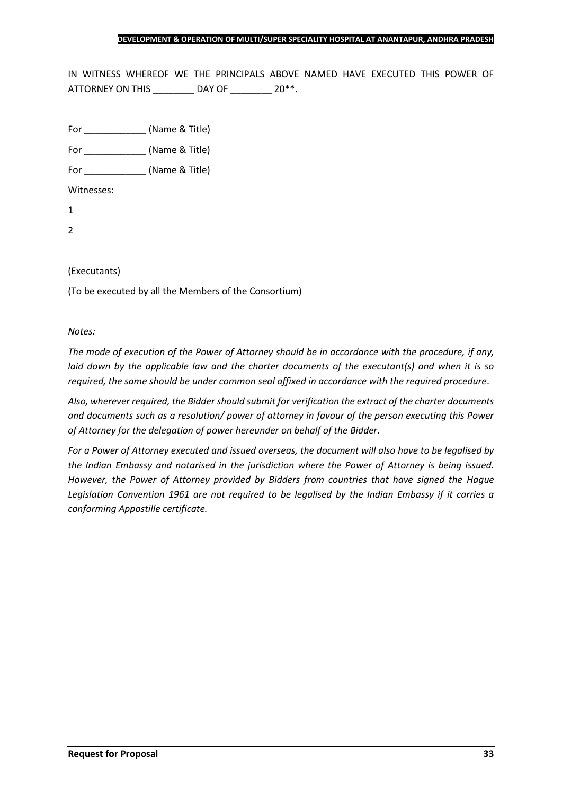IN WITNESS WHEREOF WE THE PRINCIPALS ABOVE NAMED HAVE EXECUTED THIS POWER OF ATTORNEY ON THIS \_\_\_\_\_\_\_\_ DAY OF \_\_\_\_\_\_\_ 20\*\*.

For \_\_\_\_\_\_\_\_\_\_\_\_ (Name & Title)

For  $(Name & Title)$ 

Witnesses:

1

2

#### (Executants)

(To be executed by all the Members of the Consortium)

#### *Notes:*

*The mode of execution of the Power of Attorney should be in accordance with the procedure, if any, laid down by the applicable law and the charter documents of the executant(s) and when it is so required, the same should be under common seal affixed in accordance with the required procedure*.

*Also, wherever required, the Bidder should submit for verification the extract of the charter documents and documents such as a resolution/ power of attorney in favour of the person executing this Power of Attorney for the delegation of power hereunder on behalf of the Bidder.* 

*For a Power of Attorney executed and issued overseas, the document will also have to be legalised by the Indian Embassy and notarised in the jurisdiction where the Power of Attorney is being issued. However, the Power of Attorney provided by Bidders from countries that have signed the Hague Legislation Convention 1961 are not required to be legalised by the Indian Embassy if it carries a conforming Appostille certificate.*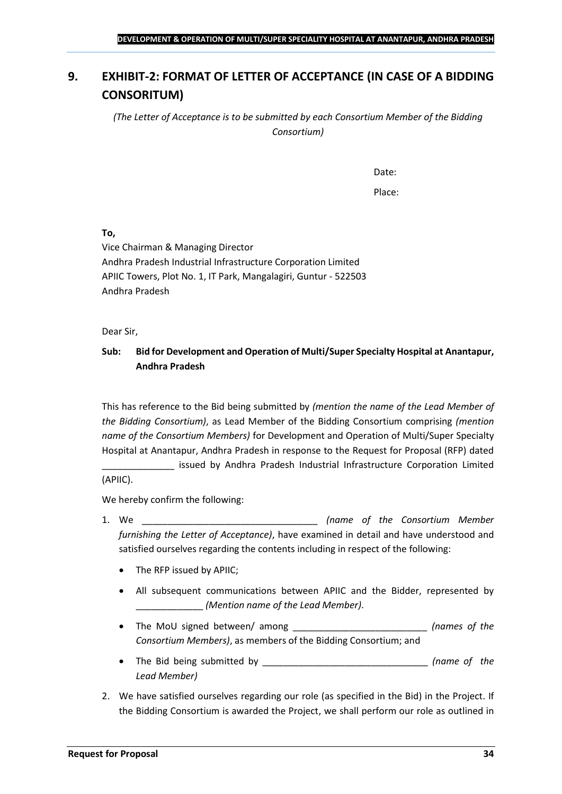## <span id="page-33-0"></span>**9. EXHIBIT-2: FORMAT OF LETTER OF ACCEPTANCE (IN CASE OF A BIDDING CONSORITUM)**

*(The Letter of Acceptance is to be submitted by each Consortium Member of the Bidding Consortium)*

Date:

Place:

**To,**

Vice Chairman & Managing Director Andhra Pradesh Industrial Infrastructure Corporation Limited APIIC Towers, Plot No. 1, IT Park, Mangalagiri, Guntur - 522503 Andhra Pradesh

Dear Sir,

## **Sub: Bid for Development and Operation of Multi/Super Specialty Hospital at Anantapur, Andhra Pradesh**

This has reference to the Bid being submitted by *(mention the name of the Lead Member of the Bidding Consortium)*, as Lead Member of the Bidding Consortium comprising *(mention name of the Consortium Members)* for Development and Operation of Multi/Super Specialty Hospital at Anantapur, Andhra Pradesh in response to the Request for Proposal (RFP) dated

issued by Andhra Pradesh Industrial Infrastructure Corporation Limited (APIIC).

We hereby confirm the following:

- 1. We \_\_\_\_\_\_\_\_\_\_\_\_\_\_\_\_\_\_\_\_\_\_\_\_\_\_\_\_\_\_\_\_\_\_ *(name of the Consortium Member furnishing the Letter of Acceptance)*, have examined in detail and have understood and satisfied ourselves regarding the contents including in respect of the following:
	- The RFP issued by APIIC;
	- All subsequent communications between APIIC and the Bidder, represented by \_\_\_\_\_\_\_\_\_\_\_\_\_ *(Mention name of the Lead Member)*.
	- The MoU signed between/ among \_\_\_\_\_\_\_\_\_\_\_\_\_\_\_\_\_\_\_\_\_\_\_\_\_\_ *(names of the Consortium Members)*, as members of the Bidding Consortium; and
	- The Bid being submitted by \_\_\_\_\_\_\_\_\_\_\_\_\_\_\_\_\_\_\_\_\_\_\_\_\_\_\_\_\_\_\_\_ *(name of the Lead Member)*
- 2. We have satisfied ourselves regarding our role (as specified in the Bid) in the Project. If the Bidding Consortium is awarded the Project, we shall perform our role as outlined in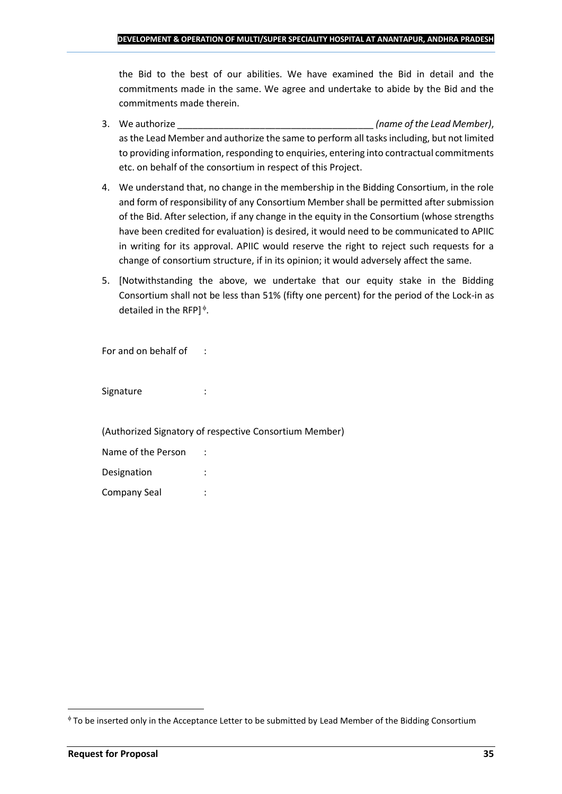the Bid to the best of our abilities. We have examined the Bid in detail and the commitments made in the same. We agree and undertake to abide by the Bid and the commitments made therein.

- 3. We authorize \_\_\_\_\_\_\_\_\_\_\_\_\_\_\_\_\_\_\_\_\_\_\_\_\_\_\_\_\_\_\_\_\_\_\_\_\_\_ *(name of the Lead Member)*, as the Lead Member and authorize the same to perform all tasks including, but not limited to providing information, responding to enquiries, entering into contractual commitments etc. on behalf of the consortium in respect of this Project.
- 4. We understand that, no change in the membership in the Bidding Consortium, in the role and form of responsibility of any Consortium Member shall be permitted after submission of the Bid. After selection, if any change in the equity in the Consortium (whose strengths have been credited for evaluation) is desired, it would need to be communicated to APIIC in writing for its approval. APIIC would reserve the right to reject such requests for a change of consortium structure, if in its opinion; it would adversely affect the same.
- 5. [Notwithstanding the above, we undertake that our equity stake in the Bidding Consortium shall not be less than 51% (fifty one percent) for the period of the Lock-in as detailed in the RFP] $\triangleq$ .

For and on behalf of :

Signature : :

(Authorized Signatory of respective Consortium Member)

| Name of the Person |  |
|--------------------|--|
| Designation        |  |
| Company Seal       |  |

To be inserted only in the Acceptance Letter to be submitted by Lead Member of the Bidding Consortium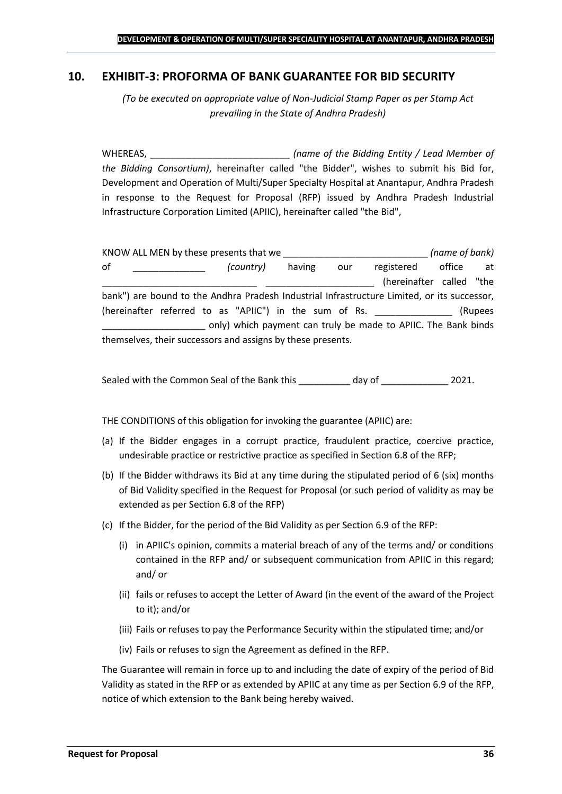## <span id="page-35-0"></span>**10. EXHIBIT-3: PROFORMA OF BANK GUARANTEE FOR BID SECURITY**

*(To be executed on appropriate value of Non-Judicial Stamp Paper as per Stamp Act prevailing in the State of Andhra Pradesh)*

WHEREAS, \_\_\_\_\_\_\_\_\_\_\_\_\_\_\_\_\_\_\_\_\_\_\_\_\_\_\_ *(name of the Bidding Entity / Lead Member of the Bidding Consortium)*, hereinafter called "the Bidder", wishes to submit his Bid for, Development and Operation of Multi/Super Specialty Hospital at Anantapur, Andhra Pradesh in response to the Request for Proposal (RFP) issued by Andhra Pradesh Industrial Infrastructure Corporation Limited (APIIC), hereinafter called "the Bid",

|    | KNOW ALL MEN by these presents that we                                                      |        |     |                          | (name of bank) |         |
|----|---------------------------------------------------------------------------------------------|--------|-----|--------------------------|----------------|---------|
| 0f | (country)                                                                                   | having | our | registered               | office         | at      |
|    |                                                                                             |        |     | (hereinafter called "the |                |         |
|    | bank") are bound to the Andhra Pradesh Industrial Infrastructure Limited, or its successor, |        |     |                          |                |         |
|    | (hereinafter referred to as "APIIC") in the sum of Rs.                                      |        |     |                          |                | (Rupees |
|    | only) which payment can truly be made to APIIC. The Bank binds                              |        |     |                          |                |         |
|    | themselves, their successors and assigns by these presents.                                 |        |     |                          |                |         |

Sealed with the Common Seal of the Bank this day of  $\qquad \qquad$  2021.

THE CONDITIONS of this obligation for invoking the guarantee (APIIC) are:

- (a) If the Bidder engages in a corrupt practice, fraudulent practice, coercive practice, undesirable practice or restrictive practice as specified in Section 6.8 of the RFP;
- (b) If the Bidder withdraws its Bid at any time during the stipulated period of 6 (six) months of Bid Validity specified in the Request for Proposal (or such period of validity as may be extended as per Section 6.8 of the RFP)
- (c) If the Bidder, for the period of the Bid Validity as per Section 6.9 of the RFP:
	- (i) in APIIC's opinion, commits a material breach of any of the terms and/ or conditions contained in the RFP and/ or subsequent communication from APIIC in this regard; and/ or
	- (ii) fails or refuses to accept the Letter of Award (in the event of the award of the Project to it); and/or
	- (iii) Fails or refuses to pay the Performance Security within the stipulated time; and/or
	- (iv) Fails or refuses to sign the Agreement as defined in the RFP.

The Guarantee will remain in force up to and including the date of expiry of the period of Bid Validity as stated in the RFP or as extended by APIIC at any time as per Section 6.9 of the RFP, notice of which extension to the Bank being hereby waived.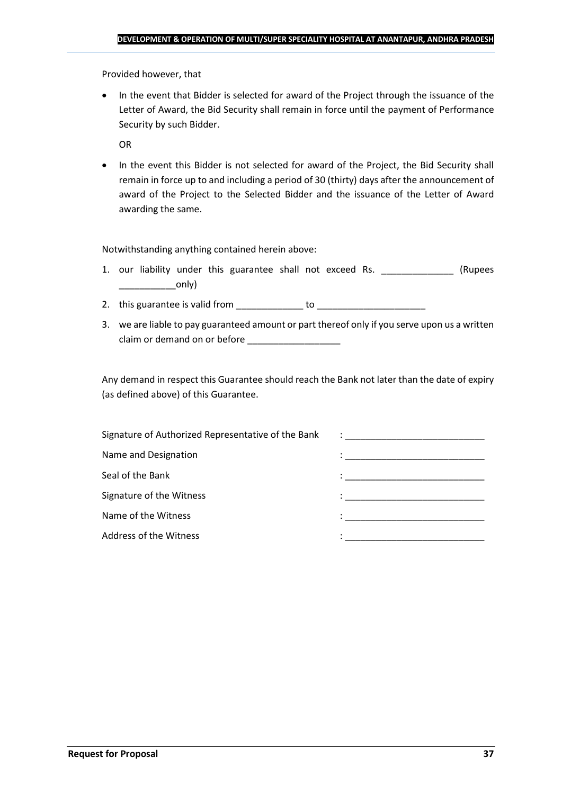Provided however, that

• In the event that Bidder is selected for award of the Project through the issuance of the Letter of Award, the Bid Security shall remain in force until the payment of Performance Security by such Bidder.

OR

• In the event this Bidder is not selected for award of the Project, the Bid Security shall remain in force up to and including a period of 30 (thirty) days after the announcement of award of the Project to the Selected Bidder and the issuance of the Letter of Award awarding the same.

Notwithstanding anything contained herein above:

- 1. our liability under this guarantee shall not exceed Rs. \_\_\_\_\_\_\_\_\_\_\_\_\_\_\_ (Rupees  $\begin{array}{c} \begin{array}{c} \begin{array}{c} \end{array} \end{array}$
- 2. this guarantee is valid from to be to to to the state of the state of the state of the state of the state o
- 3. we are liable to pay guaranteed amount or part thereof only if you serve upon us a written claim or demand on or before

Any demand in respect this Guarantee should reach the Bank not later than the date of expiry (as defined above) of this Guarantee.

| Signature of Authorized Representative of the Bank | $\mathcal{L}=\frac{1}{\sqrt{2\pi}}\left\{ \frac{1}{\sqrt{2\pi}}\right\}$                                                              |
|----------------------------------------------------|---------------------------------------------------------------------------------------------------------------------------------------|
| Name and Designation                               | the contract of the contract of the contract of the contract of the contract of the contract of                                       |
| Seal of the Bank                                   | the control of the control of the control of the control of the control of                                                            |
| Signature of the Witness                           |                                                                                                                                       |
| Name of the Witness                                | en de la componentación de la componentación de la componentación de la componentación de la componentación de<br>A la componentación |
| Address of the Witness                             |                                                                                                                                       |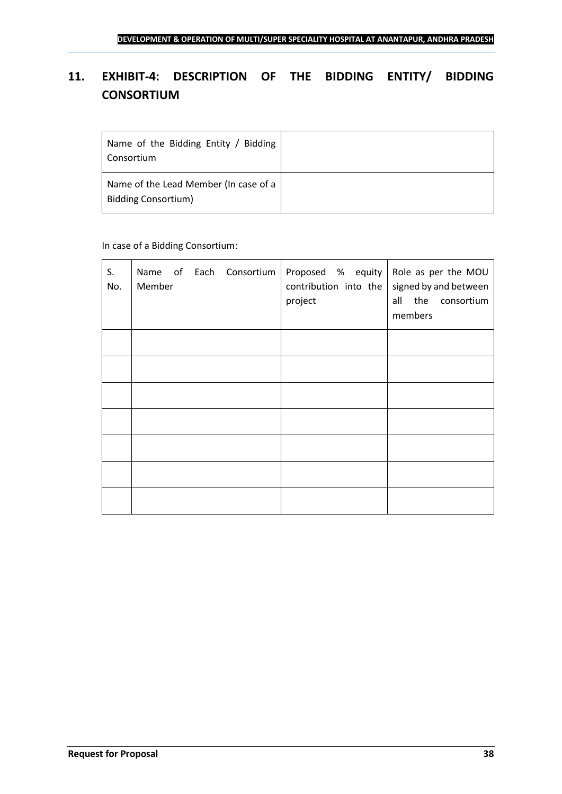## <span id="page-37-0"></span>**11. EXHIBIT-4: DESCRIPTION OF THE BIDDING ENTITY/ BIDDING CONSORTIUM**

| Name of the Bidding Entity / Bidding<br>Consortium                  |  |
|---------------------------------------------------------------------|--|
| Name of the Lead Member (In case of a<br><b>Bidding Consortium)</b> |  |

## In case of a Bidding Consortium:

| S.<br>No. | Name of Each Consortium<br>Member | Proposed $%$ equity Role as per the MOU<br>contribution into the $ $<br>project | signed by and between<br>all the consortium<br>members |
|-----------|-----------------------------------|---------------------------------------------------------------------------------|--------------------------------------------------------|
|           |                                   |                                                                                 |                                                        |
|           |                                   |                                                                                 |                                                        |
|           |                                   |                                                                                 |                                                        |
|           |                                   |                                                                                 |                                                        |
|           |                                   |                                                                                 |                                                        |
|           |                                   |                                                                                 |                                                        |
|           |                                   |                                                                                 |                                                        |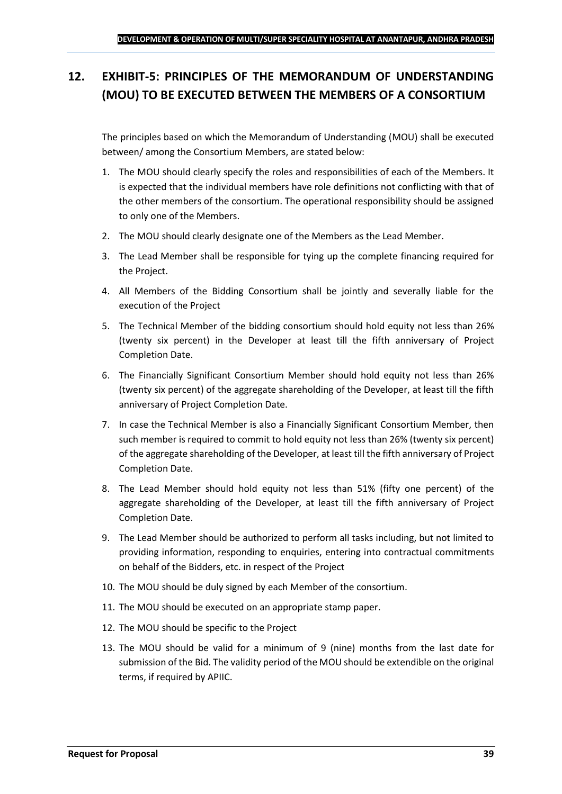## <span id="page-38-0"></span>**12. EXHIBIT-5: PRINCIPLES OF THE MEMORANDUM OF UNDERSTANDING (MOU) TO BE EXECUTED BETWEEN THE MEMBERS OF A CONSORTIUM**

The principles based on which the Memorandum of Understanding (MOU) shall be executed between/ among the Consortium Members, are stated below:

- 1. The MOU should clearly specify the roles and responsibilities of each of the Members. It is expected that the individual members have role definitions not conflicting with that of the other members of the consortium. The operational responsibility should be assigned to only one of the Members.
- 2. The MOU should clearly designate one of the Members as the Lead Member.
- 3. The Lead Member shall be responsible for tying up the complete financing required for the Project.
- 4. All Members of the Bidding Consortium shall be jointly and severally liable for the execution of the Project
- 5. The Technical Member of the bidding consortium should hold equity not less than 26% (twenty six percent) in the Developer at least till the fifth anniversary of Project Completion Date.
- 6. The Financially Significant Consortium Member should hold equity not less than 26% (twenty six percent) of the aggregate shareholding of the Developer, at least till the fifth anniversary of Project Completion Date.
- 7. In case the Technical Member is also a Financially Significant Consortium Member, then such member is required to commit to hold equity not less than 26% (twenty six percent) of the aggregate shareholding of the Developer, at least till the fifth anniversary of Project Completion Date.
- 8. The Lead Member should hold equity not less than 51% (fifty one percent) of the aggregate shareholding of the Developer, at least till the fifth anniversary of Project Completion Date.
- 9. The Lead Member should be authorized to perform all tasks including, but not limited to providing information, responding to enquiries, entering into contractual commitments on behalf of the Bidders, etc. in respect of the Project
- 10. The MOU should be duly signed by each Member of the consortium.
- 11. The MOU should be executed on an appropriate stamp paper.
- 12. The MOU should be specific to the Project
- 13. The MOU should be valid for a minimum of 9 (nine) months from the last date for submission of the Bid. The validity period of the MOU should be extendible on the original terms, if required by APIIC.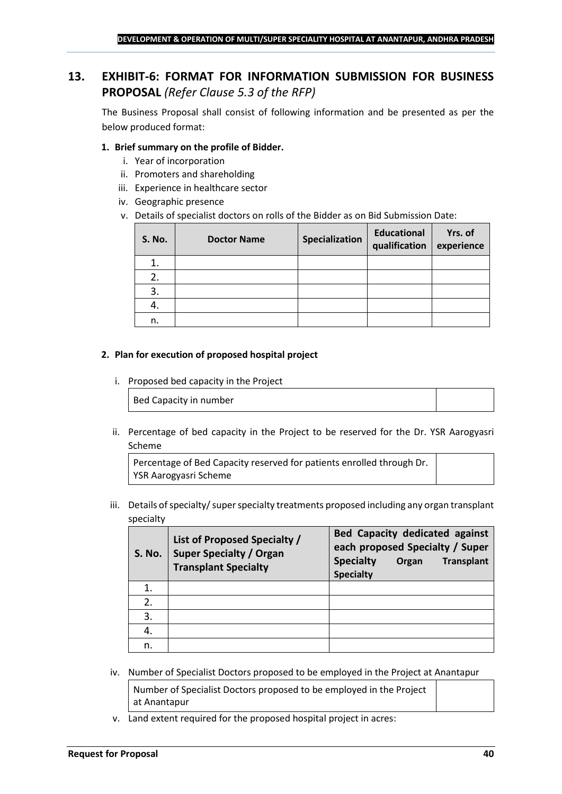## <span id="page-39-0"></span>**13. EXHIBIT-6: FORMAT FOR INFORMATION SUBMISSION FOR BUSINESS PROPOSAL** *(Refer Clause 5.3 of the RFP)*

The Business Proposal shall consist of following information and be presented as per the below produced format:

### **1. Brief summary on the profile of Bidder.**

- i. Year of incorporation
- ii. Promoters and shareholding
- iii. Experience in healthcare sector
- iv. Geographic presence
- v. Details of specialist doctors on rolls of the Bidder as on Bid Submission Date:

| <b>S. No.</b> | <b>Doctor Name</b> | Specialization | <b>Educational</b><br>qualification | Yrs. of<br>experience |
|---------------|--------------------|----------------|-------------------------------------|-----------------------|
|               |                    |                |                                     |                       |
| 2.            |                    |                |                                     |                       |
| 3.            |                    |                |                                     |                       |
| 4.            |                    |                |                                     |                       |
| n.            |                    |                |                                     |                       |

#### **2. Plan for execution of proposed hospital project**

i. Proposed bed capacity in the Project

Bed Capacity in number

ii. Percentage of bed capacity in the Project to be reserved for the Dr. YSR Aarogyasri Scheme

Percentage of Bed Capacity reserved for patients enrolled through Dr. YSR Aarogyasri Scheme

iii. Details of specialty/ super specialty treatments proposed including any organ transplant specialty

| <b>S. No.</b> | List of Proposed Specialty /<br><b>Super Specialty / Organ</b><br><b>Transplant Specialty</b> | <b>Bed Capacity dedicated against</b><br>each proposed Specialty / Super<br><b>Specialty</b><br><b>Transplant</b><br>Organ<br><b>Specialty</b> |
|---------------|-----------------------------------------------------------------------------------------------|------------------------------------------------------------------------------------------------------------------------------------------------|
|               |                                                                                               |                                                                                                                                                |
| 2.            |                                                                                               |                                                                                                                                                |
| 3.            |                                                                                               |                                                                                                                                                |
| 4.            |                                                                                               |                                                                                                                                                |
| n.            |                                                                                               |                                                                                                                                                |

iv. Number of Specialist Doctors proposed to be employed in the Project at Anantapur

Number of Specialist Doctors proposed to be employed in the Project at Anantapur

v. Land extent required for the proposed hospital project in acres: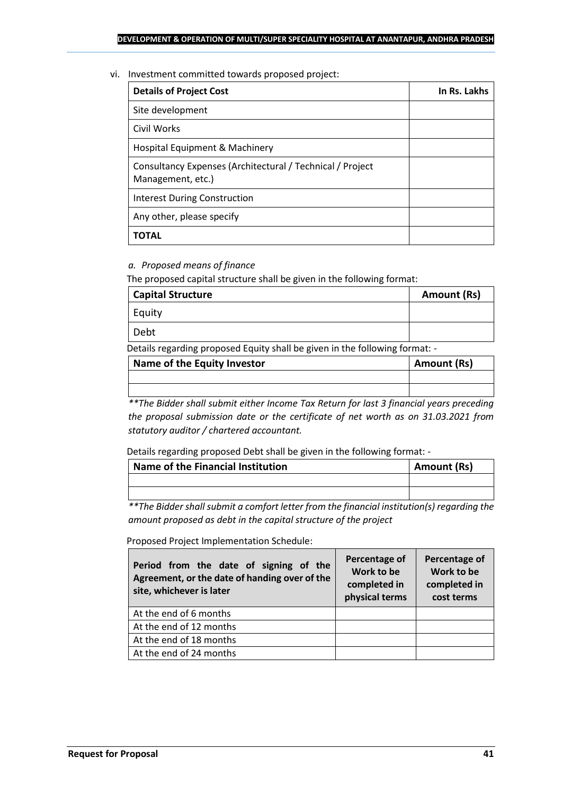#### vi. Investment committed towards proposed project:

| <b>Details of Project Cost</b>                                                 | In Rs. Lakhs |
|--------------------------------------------------------------------------------|--------------|
| Site development                                                               |              |
| Civil Works                                                                    |              |
| Hospital Equipment & Machinery                                                 |              |
| Consultancy Expenses (Architectural / Technical / Project<br>Management, etc.) |              |
| <b>Interest During Construction</b>                                            |              |
| Any other, please specify                                                      |              |
| ΤΟΤΑL                                                                          |              |

## *a. Proposed means of finance*

The proposed capital structure shall be given in the following format:

| <b>Capital Structure</b> | Amount (Rs) |
|--------------------------|-------------|
| Equity                   |             |
| Debt                     |             |

Details regarding proposed Equity shall be given in the following format: -

| Name of the Equity Investor | Amount (Rs) |
|-----------------------------|-------------|
|                             |             |
|                             |             |

*\*\*The Bidder shall submit either Income Tax Return for last 3 financial years preceding the proposal submission date or the certificate of net worth as on 31.03.2021 from statutory auditor / chartered accountant.*

Details regarding proposed Debt shall be given in the following format: -

| Name of the Financial Institution | Amount (Rs) |
|-----------------------------------|-------------|
|                                   |             |
|                                   |             |

*\*\*The Bidder shall submit a comfort letter from the financial institution(s) regarding the amount proposed as debt in the capital structure of the project*

Proposed Project Implementation Schedule:

| Period from the date of signing of the<br>Agreement, or the date of handing over of the<br>site, whichever is later | Percentage of<br>Work to be<br>completed in<br>physical terms | Percentage of<br>Work to be<br>completed in<br>cost terms |
|---------------------------------------------------------------------------------------------------------------------|---------------------------------------------------------------|-----------------------------------------------------------|
| At the end of 6 months                                                                                              |                                                               |                                                           |
| At the end of 12 months                                                                                             |                                                               |                                                           |
| At the end of 18 months                                                                                             |                                                               |                                                           |
| At the end of 24 months                                                                                             |                                                               |                                                           |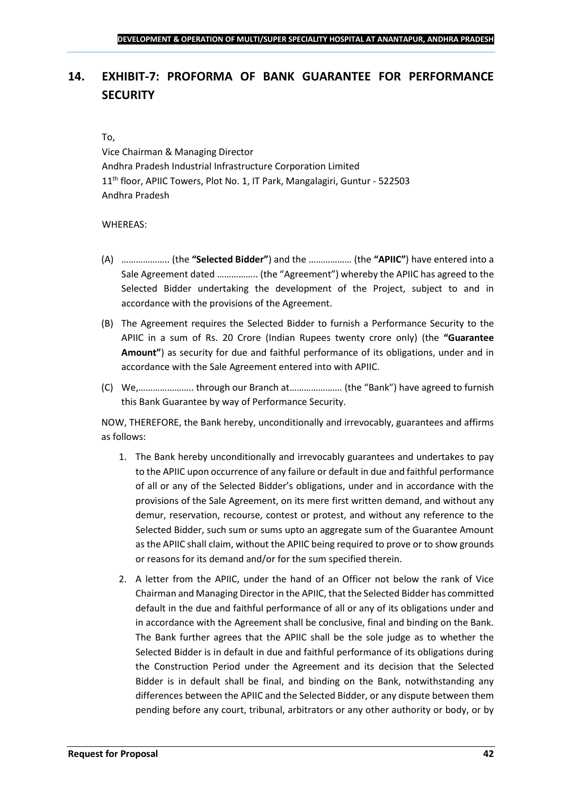## <span id="page-41-0"></span>**14. EXHIBIT-7: PROFORMA OF BANK GUARANTEE FOR PERFORMANCE SECURITY**

#### To,

Vice Chairman & Managing Director Andhra Pradesh Industrial Infrastructure Corporation Limited 11<sup>th</sup> floor, APIIC Towers, Plot No. 1, IT Park, Mangalagiri, Guntur - 522503 Andhra Pradesh

#### WHEREAS:

- (A) ……………….. (the **"Selected Bidder"**) and the ……………… (the **"APIIC"**) have entered into a Sale Agreement dated …………….. (the "Agreement") whereby the APIIC has agreed to the Selected Bidder undertaking the development of the Project, subject to and in accordance with the provisions of the Agreement.
- (B) The Agreement requires the Selected Bidder to furnish a Performance Security to the APIIC in a sum of Rs. 20 Crore (Indian Rupees twenty crore only) (the **"Guarantee Amount"**) as security for due and faithful performance of its obligations, under and in accordance with the Sale Agreement entered into with APIIC.
- (C) We,………………….. through our Branch at…………………. (the "Bank") have agreed to furnish this Bank Guarantee by way of Performance Security.

NOW, THEREFORE, the Bank hereby, unconditionally and irrevocably, guarantees and affirms as follows:

- 1. The Bank hereby unconditionally and irrevocably guarantees and undertakes to pay to the APIIC upon occurrence of any failure or default in due and faithful performance of all or any of the Selected Bidder's obligations, under and in accordance with the provisions of the Sale Agreement, on its mere first written demand, and without any demur, reservation, recourse, contest or protest, and without any reference to the Selected Bidder, such sum or sums upto an aggregate sum of the Guarantee Amount as the APIIC shall claim, without the APIIC being required to prove or to show grounds or reasons for its demand and/or for the sum specified therein.
- 2. A letter from the APIIC, under the hand of an Officer not below the rank of Vice Chairman and Managing Director in the APIIC, that the Selected Bidder has committed default in the due and faithful performance of all or any of its obligations under and in accordance with the Agreement shall be conclusive, final and binding on the Bank. The Bank further agrees that the APIIC shall be the sole judge as to whether the Selected Bidder is in default in due and faithful performance of its obligations during the Construction Period under the Agreement and its decision that the Selected Bidder is in default shall be final, and binding on the Bank, notwithstanding any differences between the APIIC and the Selected Bidder, or any dispute between them pending before any court, tribunal, arbitrators or any other authority or body, or by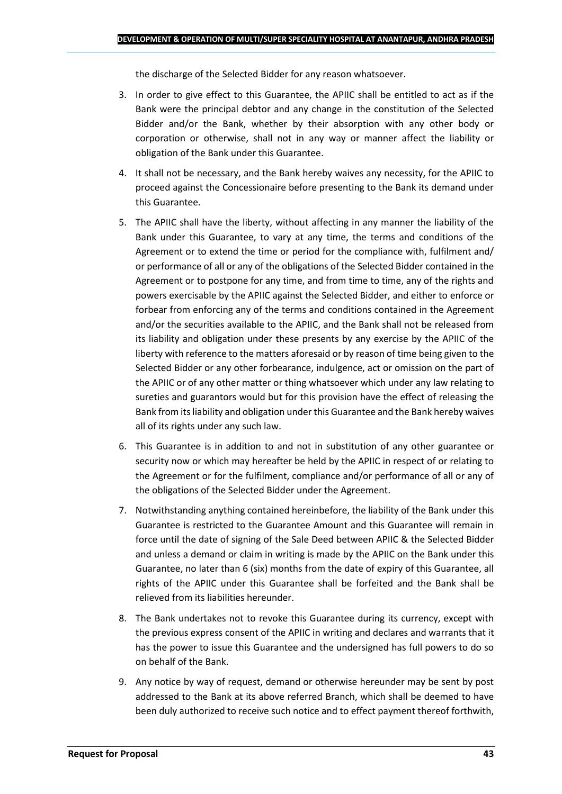the discharge of the Selected Bidder for any reason whatsoever.

- 3. In order to give effect to this Guarantee, the APIIC shall be entitled to act as if the Bank were the principal debtor and any change in the constitution of the Selected Bidder and/or the Bank, whether by their absorption with any other body or corporation or otherwise, shall not in any way or manner affect the liability or obligation of the Bank under this Guarantee.
- 4. It shall not be necessary, and the Bank hereby waives any necessity, for the APIIC to proceed against the Concessionaire before presenting to the Bank its demand under this Guarantee.
- 5. The APIIC shall have the liberty, without affecting in any manner the liability of the Bank under this Guarantee, to vary at any time, the terms and conditions of the Agreement or to extend the time or period for the compliance with, fulfilment and/ or performance of all or any of the obligations of the Selected Bidder contained in the Agreement or to postpone for any time, and from time to time, any of the rights and powers exercisable by the APIIC against the Selected Bidder, and either to enforce or forbear from enforcing any of the terms and conditions contained in the Agreement and/or the securities available to the APIIC, and the Bank shall not be released from its liability and obligation under these presents by any exercise by the APIIC of the liberty with reference to the matters aforesaid or by reason of time being given to the Selected Bidder or any other forbearance, indulgence, act or omission on the part of the APIIC or of any other matter or thing whatsoever which under any law relating to sureties and guarantors would but for this provision have the effect of releasing the Bank from its liability and obligation under this Guarantee and the Bank hereby waives all of its rights under any such law.
- 6. This Guarantee is in addition to and not in substitution of any other guarantee or security now or which may hereafter be held by the APIIC in respect of or relating to the Agreement or for the fulfilment, compliance and/or performance of all or any of the obligations of the Selected Bidder under the Agreement.
- 7. Notwithstanding anything contained hereinbefore, the liability of the Bank under this Guarantee is restricted to the Guarantee Amount and this Guarantee will remain in force until the date of signing of the Sale Deed between APIIC & the Selected Bidder and unless a demand or claim in writing is made by the APIIC on the Bank under this Guarantee, no later than 6 (six) months from the date of expiry of this Guarantee, all rights of the APIIC under this Guarantee shall be forfeited and the Bank shall be relieved from its liabilities hereunder.
- 8. The Bank undertakes not to revoke this Guarantee during its currency, except with the previous express consent of the APIIC in writing and declares and warrants that it has the power to issue this Guarantee and the undersigned has full powers to do so on behalf of the Bank.
- 9. Any notice by way of request, demand or otherwise hereunder may be sent by post addressed to the Bank at its above referred Branch, which shall be deemed to have been duly authorized to receive such notice and to effect payment thereof forthwith,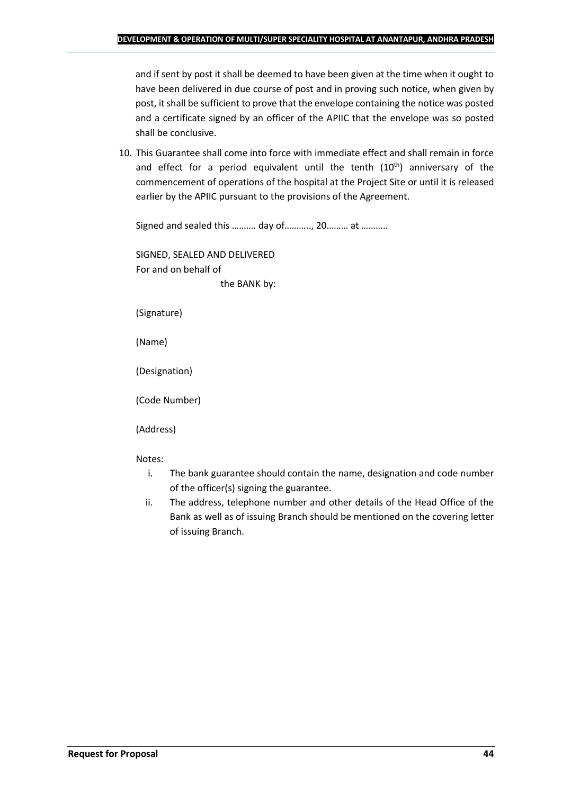and if sent by post it shall be deemed to have been given at the time when it ought to have been delivered in due course of post and in proving such notice, when given by post, it shall be sufficient to prove that the envelope containing the notice was posted and a certificate signed by an officer of the APIIC that the envelope was so posted shall be conclusive.

10. This Guarantee shall come into force with immediate effect and shall remain in force and effect for a period equivalent until the tenth (10<sup>th</sup>) anniversary of the commencement of operations of the hospital at the Project Site or until it is released earlier by the APIIC pursuant to the provisions of the Agreement.

Signed and sealed this ………. day of……….., 20……… at ………..

SIGNED, SEALED AND DELIVERED For and on behalf of the BANK by:

(Signature)

(Name)

(Designation)

(Code Number)

(Address)

Notes:

- i. The bank guarantee should contain the name, designation and code number of the officer(s) signing the guarantee.
- ii. The address, telephone number and other details of the Head Office of the Bank as well as of issuing Branch should be mentioned on the covering letter of issuing Branch.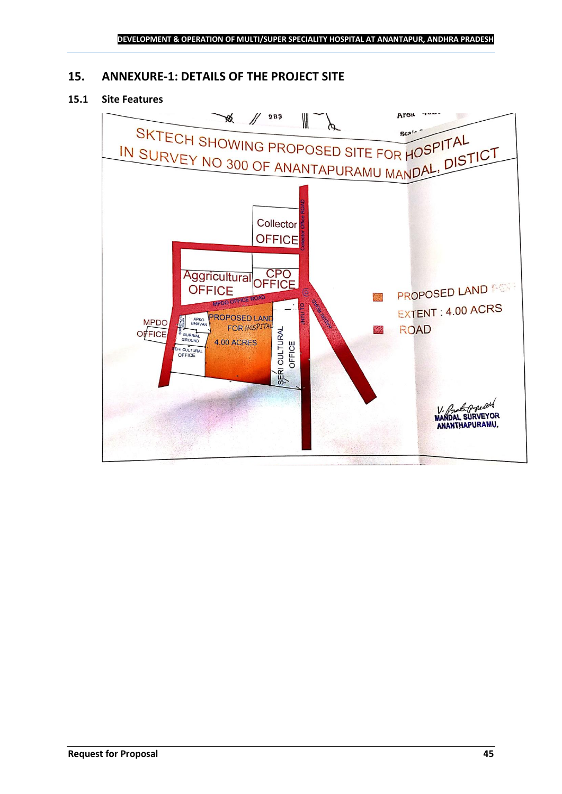## <span id="page-44-0"></span>**15. ANNEXURE-1: DETAILS OF THE PROJECT SITE**

## **15.1 Site Features**

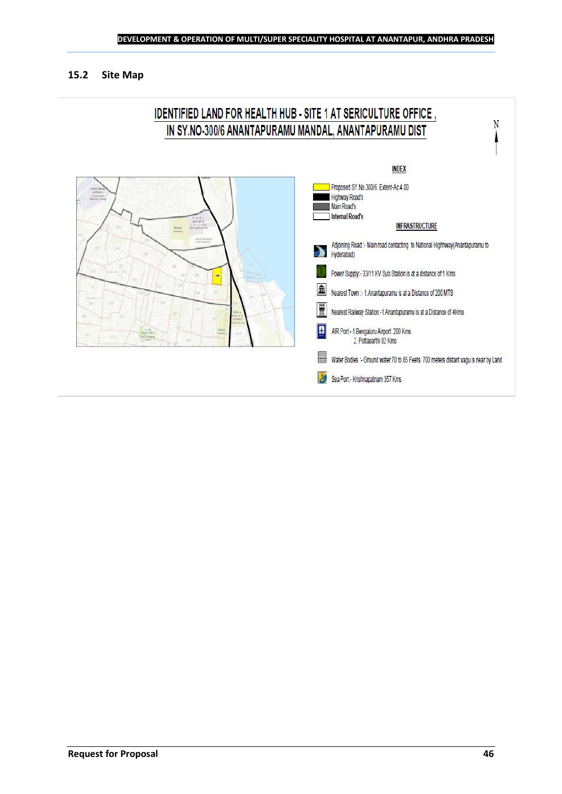### **15.2 Site Map**

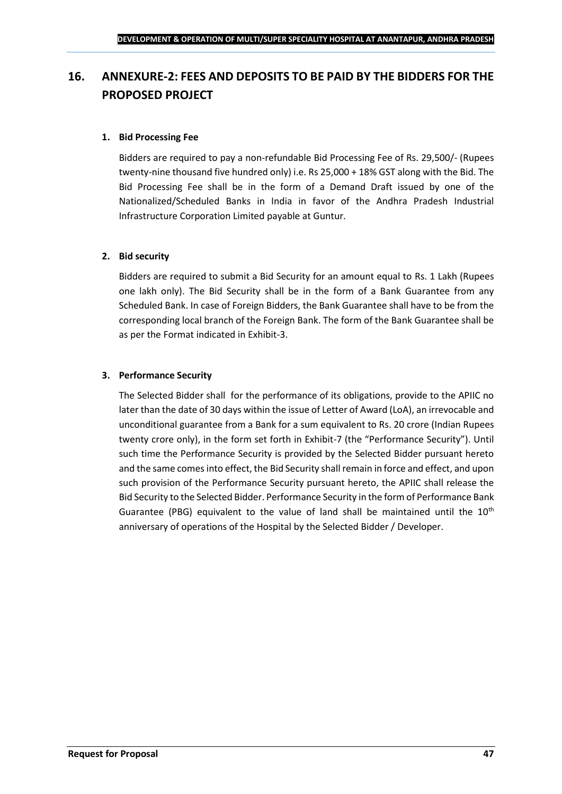## <span id="page-46-0"></span>**16. ANNEXURE-2: FEES AND DEPOSITS TO BE PAID BY THE BIDDERS FOR THE PROPOSED PROJECT**

## **1. Bid Processing Fee**

Bidders are required to pay a non-refundable Bid Processing Fee of Rs. 29,500/- (Rupees twenty-nine thousand five hundred only) i.e. Rs 25,000 + 18% GST along with the Bid. The Bid Processing Fee shall be in the form of a Demand Draft issued by one of the Nationalized/Scheduled Banks in India in favor of the Andhra Pradesh Industrial Infrastructure Corporation Limited payable at Guntur.

#### **2. Bid security**

Bidders are required to submit a Bid Security for an amount equal to Rs. 1 Lakh (Rupees one lakh only). The Bid Security shall be in the form of a Bank Guarantee from any Scheduled Bank. In case of Foreign Bidders, the Bank Guarantee shall have to be from the corresponding local branch of the Foreign Bank. The form of the Bank Guarantee shall be as per the Format indicated in Exhibit-3.

#### **3. Performance Security**

The Selected Bidder shall for the performance of its obligations, provide to the APIIC no later than the date of 30 days within the issue of Letter of Award (LoA), an irrevocable and unconditional guarantee from a Bank for a sum equivalent to Rs. 20 crore (Indian Rupees twenty crore only), in the form set forth in Exhibit-7 (the "Performance Security"). Until such time the Performance Security is provided by the Selected Bidder pursuant hereto and the same comes into effect, the Bid Security shall remain in force and effect, and upon such provision of the Performance Security pursuant hereto, the APIIC shall release the Bid Security to the Selected Bidder. Performance Security in the form of Performance Bank Guarantee (PBG) equivalent to the value of land shall be maintained until the  $10<sup>th</sup>$ anniversary of operations of the Hospital by the Selected Bidder / Developer.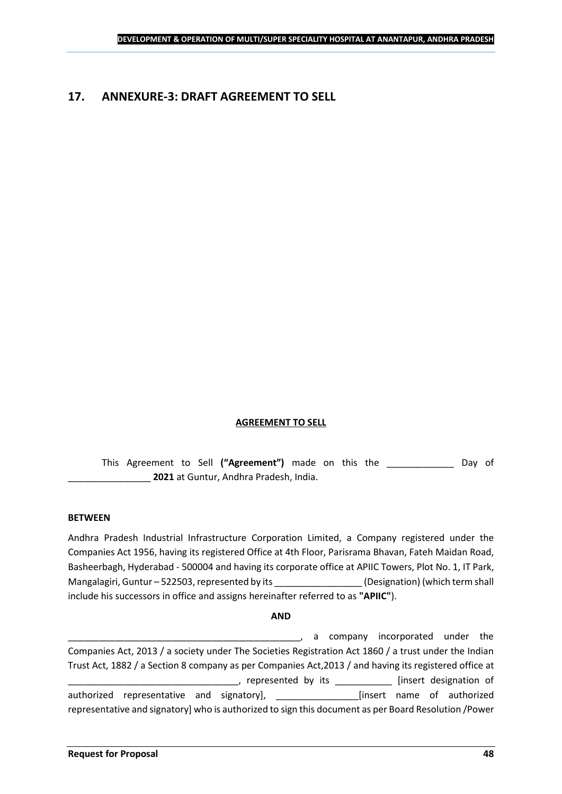## <span id="page-47-0"></span>**17. ANNEXURE-3: DRAFT AGREEMENT TO SELL**

#### **AGREEMENT TO SELL**

This Agreement to Sell **("Agreement")** made on this the \_\_\_\_\_\_\_\_\_\_\_\_\_ Day of \_\_\_\_\_\_\_\_\_\_\_\_\_\_\_\_ **2021** at Guntur, Andhra Pradesh, India.

#### **BETWEEN**

Andhra Pradesh Industrial Infrastructure Corporation Limited, a Company registered under the Companies Act 1956, having its registered Office at 4th Floor, Parisrama Bhavan, Fateh Maidan Road, Basheerbagh, Hyderabad - 500004 and having its corporate office at APIIC Towers, Plot No. 1, IT Park, Mangalagiri, Guntur – 522503, represented by its \_\_\_\_\_\_\_\_\_\_\_\_\_\_\_\_\_\_\_\_\_\_\_\_\_\_\_\_\_\_\_\_<br>(Designation) (which term shall include his successors in office and assigns hereinafter referred to as **"APIIC"**).

#### **AND**

\_\_\_\_\_\_\_\_\_\_\_\_\_\_\_\_\_\_\_\_\_\_\_\_\_\_\_\_\_\_\_\_\_\_\_\_\_\_\_\_\_\_\_\_\_, a company incorporated under the Companies Act, 2013 / a society under The Societies Registration Act 1860 / a trust under the Indian Trust Act, 1882 / a Section 8 company as per Companies Act,2013 / and having its registered office at \_\_\_\_\_, represented by its \_\_\_\_\_\_\_\_\_\_\_\_\_ [insert designation of authorized representative and signatory], \_\_\_\_\_\_\_\_\_\_\_\_\_\_\_\_[insert name of authorized representative and signatory] who is authorized to sign this document as per Board Resolution /Power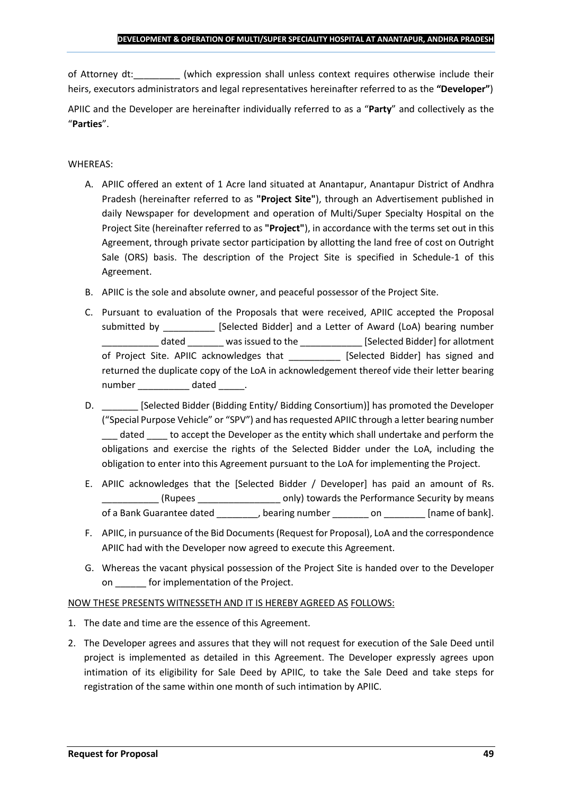of Attorney dt:  $\qquad \qquad$  (which expression shall unless context requires otherwise include their heirs, executors administrators and legal representatives hereinafter referred to as the **"Developer"**)

APIIC and the Developer are hereinafter individually referred to as a "**Party**" and collectively as the "**Parties**".

## WHEREAS:

- A. APIIC offered an extent of 1 Acre land situated at Anantapur, Anantapur District of Andhra Pradesh (hereinafter referred to as **"Project Site"**), through an Advertisement published in daily Newspaper for development and operation of Multi/Super Specialty Hospital on the Project Site (hereinafter referred to as **"Project"**), in accordance with the terms set out in this Agreement, through private sector participation by allotting the land free of cost on Outright Sale (ORS) basis. The description of the Project Site is specified in Schedule-1 of this Agreement.
- B. APIIC is the sole and absolute owner, and peaceful possessor of the Project Site.
- C. Pursuant to evaluation of the Proposals that were received, APIIC accepted the Proposal submitted by [Selected Bidder] and a Letter of Award (LoA) bearing number \_\_\_\_\_\_\_\_\_\_\_ dated \_\_\_\_\_\_\_ was issued to the \_\_\_\_\_\_\_\_\_\_\_\_ [Selected Bidder] for allotment of Project Site. APIIC acknowledges that [Selected Bidder] has signed and returned the duplicate copy of the LoA in acknowledgement thereof vide their letter bearing number dated the dated and the dated and the dated  $\sim$
- D. \_\_\_\_\_\_\_ [Selected Bidder (Bidding Entity/ Bidding Consortium)] has promoted the Developer ("Special Purpose Vehicle" or "SPV") and has requested APIIC through a letter bearing number dated to accept the Developer as the entity which shall undertake and perform the obligations and exercise the rights of the Selected Bidder under the LoA, including the obligation to enter into this Agreement pursuant to the LoA for implementing the Project.
- E. APIIC acknowledges that the [Selected Bidder / Developer] has paid an amount of Rs. \_\_\_\_\_\_\_\_\_\_\_ (Rupees \_\_\_\_\_\_\_\_\_\_\_\_\_\_\_\_ only) towards the Performance Security by means of a Bank Guarantee dated bearing number on the lame of bank].
- F. APIIC, in pursuance of the Bid Documents (Request for Proposal), LoA and the correspondence APIIC had with the Developer now agreed to execute this Agreement.
- G. Whereas the vacant physical possession of the Project Site is handed over to the Developer on \_\_\_\_\_\_ for implementation of the Project.

## NOW THESE PRESENTS WITNESSETH AND IT IS HEREBY AGREED AS FOLLOWS:

- 1. The date and time are the essence of this Agreement.
- 2. The Developer agrees and assures that they will not request for execution of the Sale Deed until project is implemented as detailed in this Agreement. The Developer expressly agrees upon intimation of its eligibility for Sale Deed by APIIC, to take the Sale Deed and take steps for registration of the same within one month of such intimation by APIIC.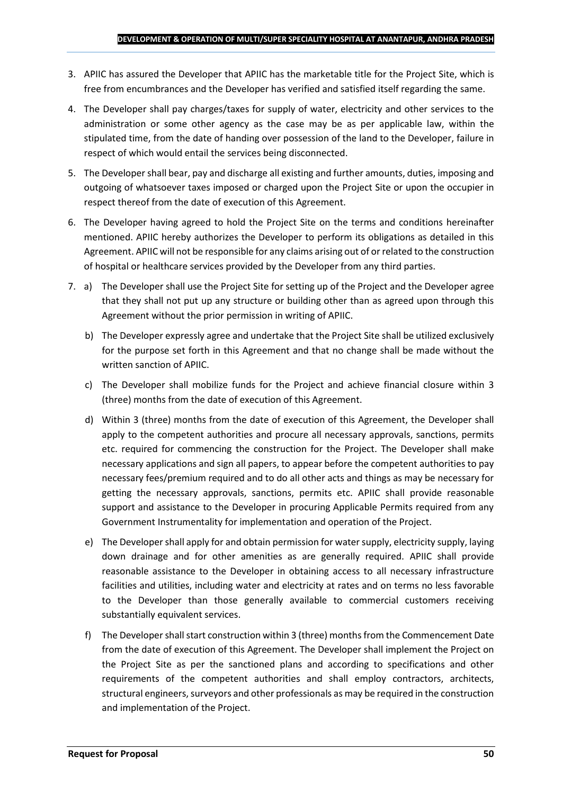- 3. APIIC has assured the Developer that APIIC has the marketable title for the Project Site, which is free from encumbrances and the Developer has verified and satisfied itself regarding the same.
- 4. The Developer shall pay charges/taxes for supply of water, electricity and other services to the administration or some other agency as the case may be as per applicable law, within the stipulated time, from the date of handing over possession of the land to the Developer, failure in respect of which would entail the services being disconnected.
- 5. The Developer shall bear, pay and discharge all existing and further amounts, duties, imposing and outgoing of whatsoever taxes imposed or charged upon the Project Site or upon the occupier in respect thereof from the date of execution of this Agreement.
- 6. The Developer having agreed to hold the Project Site on the terms and conditions hereinafter mentioned. APIIC hereby authorizes the Developer to perform its obligations as detailed in this Agreement. APIIC will not be responsible for any claims arising out of or related to the construction of hospital or healthcare services provided by the Developer from any third parties.
- 7. a) The Developer shall use the Project Site for setting up of the Project and the Developer agree that they shall not put up any structure or building other than as agreed upon through this Agreement without the prior permission in writing of APIIC.
	- b) The Developer expressly agree and undertake that the Project Site shall be utilized exclusively for the purpose set forth in this Agreement and that no change shall be made without the written sanction of APIIC.
	- c) The Developer shall mobilize funds for the Project and achieve financial closure within 3 (three) months from the date of execution of this Agreement.
	- d) Within 3 (three) months from the date of execution of this Agreement, the Developer shall apply to the competent authorities and procure all necessary approvals, sanctions, permits etc. required for commencing the construction for the Project. The Developer shall make necessary applications and sign all papers, to appear before the competent authorities to pay necessary fees/premium required and to do all other acts and things as may be necessary for getting the necessary approvals, sanctions, permits etc. APIIC shall provide reasonable support and assistance to the Developer in procuring Applicable Permits required from any Government Instrumentality for implementation and operation of the Project.
	- e) The Developer shall apply for and obtain permission for water supply, electricity supply, laying down drainage and for other amenities as are generally required. APIIC shall provide reasonable assistance to the Developer in obtaining access to all necessary infrastructure facilities and utilities, including water and electricity at rates and on terms no less favorable to the Developer than those generally available to commercial customers receiving substantially equivalent services.
	- f) The Developer shall start construction within 3 (three) months from the Commencement Date from the date of execution of this Agreement. The Developer shall implement the Project on the Project Site as per the sanctioned plans and according to specifications and other requirements of the competent authorities and shall employ contractors, architects, structural engineers, surveyors and other professionals as may be required in the construction and implementation of the Project.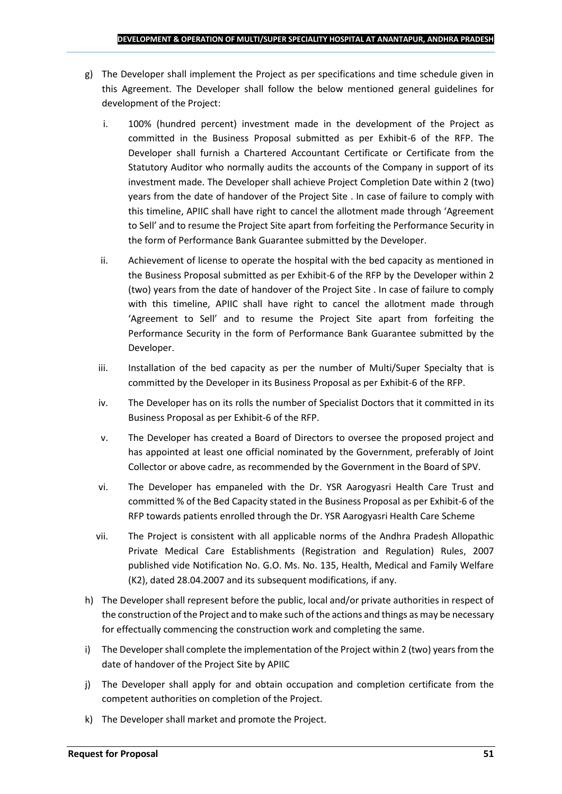- g) The Developer shall implement the Project as per specifications and time schedule given in this Agreement. The Developer shall follow the below mentioned general guidelines for development of the Project:
	- i. 100% (hundred percent) investment made in the development of the Project as committed in the Business Proposal submitted as per Exhibit-6 of the RFP. The Developer shall furnish a Chartered Accountant Certificate or Certificate from the Statutory Auditor who normally audits the accounts of the Company in support of its investment made. The Developer shall achieve Project Completion Date within 2 (two) years from the date of handover of the Project Site . In case of failure to comply with this timeline, APIIC shall have right to cancel the allotment made through 'Agreement to Sell' and to resume the Project Site apart from forfeiting the Performance Security in the form of Performance Bank Guarantee submitted by the Developer.
	- ii. Achievement of license to operate the hospital with the bed capacity as mentioned in the Business Proposal submitted as per Exhibit-6 of the RFP by the Developer within 2 (two) years from the date of handover of the Project Site . In case of failure to comply with this timeline, APIIC shall have right to cancel the allotment made through 'Agreement to Sell' and to resume the Project Site apart from forfeiting the Performance Security in the form of Performance Bank Guarantee submitted by the Developer.
	- iii. Installation of the bed capacity as per the number of Multi/Super Specialty that is committed by the Developer in its Business Proposal as per Exhibit-6 of the RFP.
	- iv. The Developer has on its rolls the number of Specialist Doctors that it committed in its Business Proposal as per Exhibit-6 of the RFP.
	- v. The Developer has created a Board of Directors to oversee the proposed project and has appointed at least one official nominated by the Government, preferably of Joint Collector or above cadre, as recommended by the Government in the Board of SPV.
	- vi. The Developer has empaneled with the Dr. YSR Aarogyasri Health Care Trust and committed % of the Bed Capacity stated in the Business Proposal as per Exhibit-6 of the RFP towards patients enrolled through the Dr. YSR Aarogyasri Health Care Scheme
	- vii. The Project is consistent with all applicable norms of the Andhra Pradesh Allopathic Private Medical Care Establishments (Registration and Regulation) Rules, 2007 published vide Notification No. G.O. Ms. No. 135, Health, Medical and Family Welfare (K2), dated 28.04.2007 and its subsequent modifications, if any.
- h) The Developer shall represent before the public, local and/or private authorities in respect of the construction of the Project and to make such of the actions and things as may be necessary for effectually commencing the construction work and completing the same.
- i) The Developer shall complete the implementation of the Project within 2 (two) years from the date of handover of the Project Site by APIIC
- j) The Developer shall apply for and obtain occupation and completion certificate from the competent authorities on completion of the Project.
- k) The Developer shall market and promote the Project.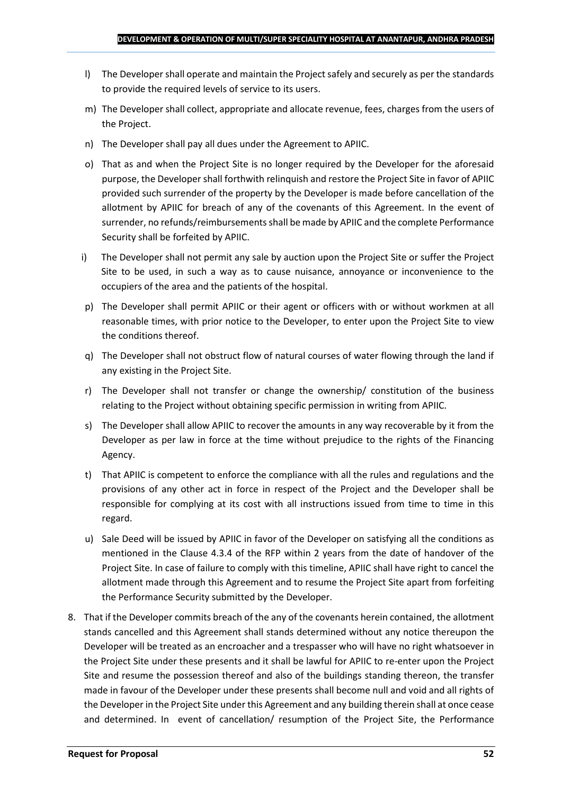- l) The Developer shall operate and maintain the Project safely and securely as per the standards to provide the required levels of service to its users.
- m) The Developer shall collect, appropriate and allocate revenue, fees, charges from the users of the Project.
- n) The Developer shall pay all dues under the Agreement to APIIC.
- o) That as and when the Project Site is no longer required by the Developer for the aforesaid purpose, the Developer shall forthwith relinquish and restore the Project Site in favor of APIIC provided such surrender of the property by the Developer is made before cancellation of the allotment by APIIC for breach of any of the covenants of this Agreement. In the event of surrender, no refunds/reimbursements shall be made by APIIC and the complete Performance Security shall be forfeited by APIIC.
- i) The Developer shall not permit any sale by auction upon the Project Site or suffer the Project Site to be used, in such a way as to cause nuisance, annoyance or inconvenience to the occupiers of the area and the patients of the hospital.
- p) The Developer shall permit APIIC or their agent or officers with or without workmen at all reasonable times, with prior notice to the Developer, to enter upon the Project Site to view the conditions thereof.
- q) The Developer shall not obstruct flow of natural courses of water flowing through the land if any existing in the Project Site.
- r) The Developer shall not transfer or change the ownership/ constitution of the business relating to the Project without obtaining specific permission in writing from APIIC.
- s) The Developer shall allow APIIC to recover the amounts in any way recoverable by it from the Developer as per law in force at the time without prejudice to the rights of the Financing Agency.
- t) That APIIC is competent to enforce the compliance with all the rules and regulations and the provisions of any other act in force in respect of the Project and the Developer shall be responsible for complying at its cost with all instructions issued from time to time in this regard.
- u) Sale Deed will be issued by APIIC in favor of the Developer on satisfying all the conditions as mentioned in the Clause 4.3.4 of the RFP within 2 years from the date of handover of the Project Site. In case of failure to comply with this timeline, APIIC shall have right to cancel the allotment made through this Agreement and to resume the Project Site apart from forfeiting the Performance Security submitted by the Developer.
- 8. That if the Developer commits breach of the any of the covenants herein contained, the allotment stands cancelled and this Agreement shall stands determined without any notice thereupon the Developer will be treated as an encroacher and a trespasser who will have no right whatsoever in the Project Site under these presents and it shall be lawful for APIIC to re-enter upon the Project Site and resume the possession thereof and also of the buildings standing thereon, the transfer made in favour of the Developer under these presents shall become null and void and all rights of the Developer in the Project Site under this Agreement and any building therein shall at once cease and determined. In event of cancellation/ resumption of the Project Site, the Performance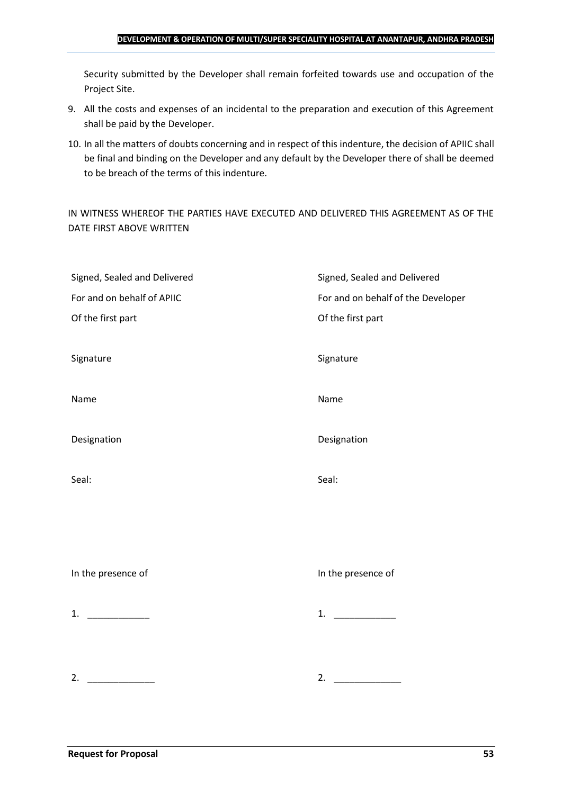#### **DEVELOPMENT & OPERATION OF MULTI/SUPER SPECIALITY HOSPITAL AT ANANTAPUR, ANDHRA PRADESH**

Security submitted by the Developer shall remain forfeited towards use and occupation of the Project Site.

- 9. All the costs and expenses of an incidental to the preparation and execution of this Agreement shall be paid by the Developer.
- 10. In all the matters of doubts concerning and in respect of this indenture, the decision of APIIC shall be final and binding on the Developer and any default by the Developer there of shall be deemed to be breach of the terms of this indenture.

IN WITNESS WHEREOF THE PARTIES HAVE EXECUTED AND DELIVERED THIS AGREEMENT AS OF THE DATE FIRST ABOVE WRITTEN

| Signed, Sealed and Delivered | Signed, Sealed and Delivered       |
|------------------------------|------------------------------------|
| For and on behalf of APIIC   | For and on behalf of the Developer |
| Of the first part            | Of the first part                  |
|                              |                                    |
| Signature                    | Signature                          |
|                              |                                    |
| Name                         | Name                               |
|                              |                                    |
| Designation                  | Designation                        |
|                              |                                    |
| Seal:                        | Seal:                              |
|                              |                                    |
|                              |                                    |
|                              |                                    |
|                              |                                    |
| In the presence of           | In the presence of                 |
|                              |                                    |
| 1. $\qquad$                  | 1.                                 |
|                              |                                    |
|                              |                                    |
|                              |                                    |
| 2.                           | 2.                                 |
|                              |                                    |